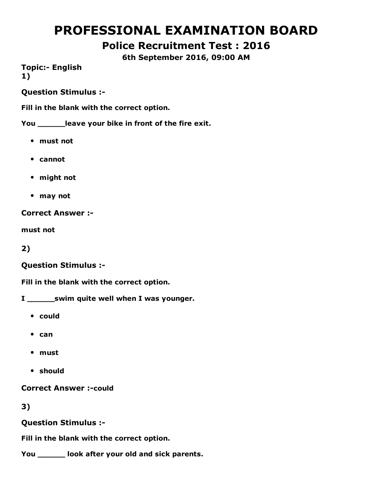# PROFESSIONAL EXAMINATION BOARD

# Police Recruitment Test : 2016

6th September 2016, 09:00 AM

**Topic:- English** 1)

Question Stimulus :

Fill in the blank with the correct option.

You \_\_\_\_\_\_leave your bike in front of the fire exit.

- must not
- cannot
- might not
- may not

Correct Answer :

must not

2)

#### Question Stimulus :

Fill in the blank with the correct option.

- I \_\_\_\_\_\_\_\_ swim quite well when I was younger.
	- could
	- $•$  can
	- must
	- should

**Correct Answer :- could** 

### 3)

Question Stimulus :

Fill in the blank with the correct option.

You \_\_\_\_\_\_ look after your old and sick parents.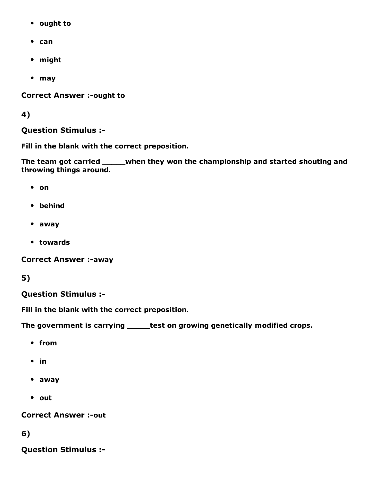- ought to
- $•$  can
- might
- may

**Correct Answer :- ought to** 

4)

Question Stimulus :

Fill in the blank with the correct preposition.

The team got carried \_\_\_\_\_when they won the championship and started shouting and throwing things around.

- on
- behind
- away
- towards

**Correct Answer :- away** 

5)

### Question Stimulus :

Fill in the blank with the correct preposition.

The government is carrying \_\_\_\_\_test on growing genetically modified crops.

- from
- $\bullet$  in
- away
- out

**Correct Answer :- out** 

6)

Question Stimulus :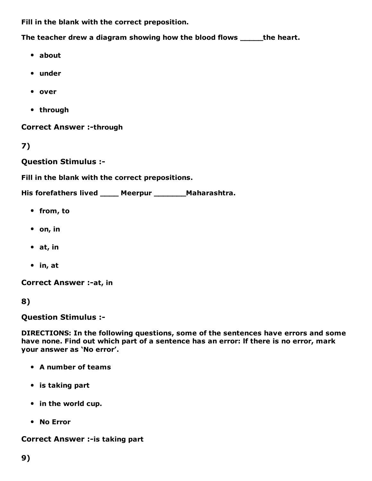Fill in the blank with the correct preposition.

The teacher drew a diagram showing how the blood flows \_\_\_\_\_the heart.

- about
- under
- over
- through

**Correct Answer :- through** 

7)

Question Stimulus :

Fill in the blank with the correct prepositions.

His forefathers lived \_\_\_\_ Meerpur \_\_\_\_\_\_\_Maharashtra.

- from, to
- $\bullet$  on, in
- at, in
- in, at

Correct Answer :- at, in

8)

Question Stimulus :

DIRECTIONS: In the following questions, some of the sentences have errors and some have none. Find out which part of a sentence has an error: lf there is no error, mark your answer as 'No error'.

- A number of teams
- is taking part
- in the world cup.
- No Error

Correct Answer :- is taking part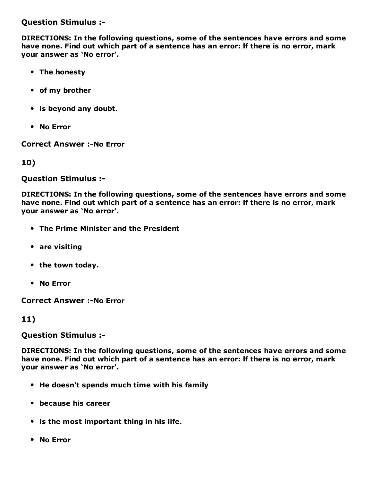Question Stimulus :

DIRECTIONS: In the following questions, some of the sentences have errors and some have none. Find out which part of a sentence has an error: lf there is no error, mark your answer as 'No error'.

- The honesty
- of my brother
- is beyond any doubt.
- No Error

**Correct Answer :-No Error** 

10)

Question Stimulus :

DIRECTIONS: In the following questions, some of the sentences have errors and some have none. Find out which part of a sentence has an error: lf there is no error, mark your answer as 'No error'.

- The Prime Minister and the President
- are visiting
- the town today.
- No Error

**Correct Answer :- No Error** 

11)

Question Stimulus :

DIRECTIONS: In the following questions, some of the sentences have errors and some have none. Find out which part of a sentence has an error: lf there is no error, mark your answer as 'No error'.

- He doesn't spends much time with his family
- because his career
- is the most important thing in his life.
- No Error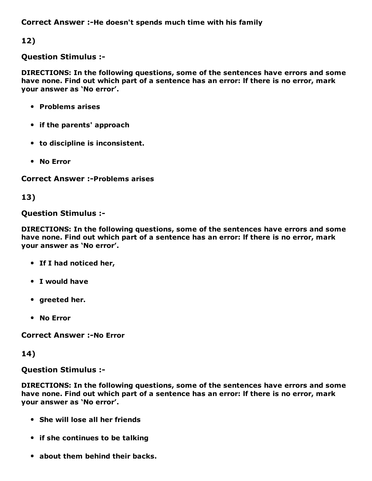Correct Answer :-He doesn't spends much time with his family

12)

#### Question Stimulus :

DIRECTIONS: In the following questions, some of the sentences have errors and some have none. Find out which part of a sentence has an error: lf there is no error, mark your answer as 'No error'.

- Problems arises
- if the parents' approach
- to discipline is inconsistent.
- No Error

**Correct Answer :- Problems arises** 

13)

### Question Stimulus :

DIRECTIONS: In the following questions, some of the sentences have errors and some have none. Find out which part of a sentence has an error: lf there is no error, mark your answer as 'No error'.

- If I had noticed her,
- I would have
- greeted her.
- No Error

**Correct Answer :-No Error** 

14)

### Question Stimulus :

DIRECTIONS: In the following questions, some of the sentences have errors and some have none. Find out which part of a sentence has an error: lf there is no error, mark your answer as 'No error'.

- She will lose all her friends
- if she continues to be talking
- about them behind their backs.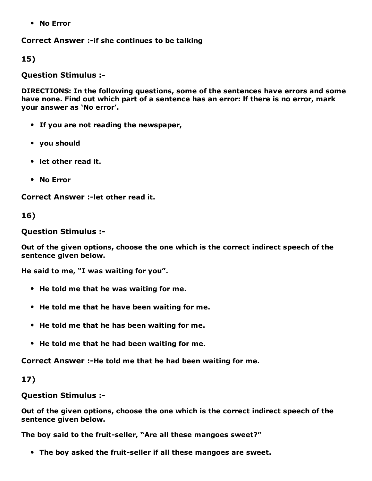No Error

Correct Answer :- if she continues to be talking

15)

Question Stimulus :

DIRECTIONS: In the following questions, some of the sentences have errors and some have none. Find out which part of a sentence has an error: lf there is no error, mark your answer as 'No error'.

- If you are not reading the newspaper,
- you should
- let other read it.
- No Error

Correct Answer :- let other read it.

16)

Question Stimulus :

Out of the given options, choose the one which is the correct indirect speech of the sentence given below.

He said to me, "I was waiting for you".

- He told me that he was waiting for me.
- He told me that he have been waiting for me.
- He told me that he has been waiting for me.
- He told me that he had been waiting for me.

Correct Answer :-He told me that he had been waiting for me.

17)

Question Stimulus :

Out of the given options, choose the one which is the correct indirect speech of the sentence given below.

The boy said to the fruit-seller, "Are all these mangoes sweet?"

• The boy asked the fruit-seller if all these mangoes are sweet.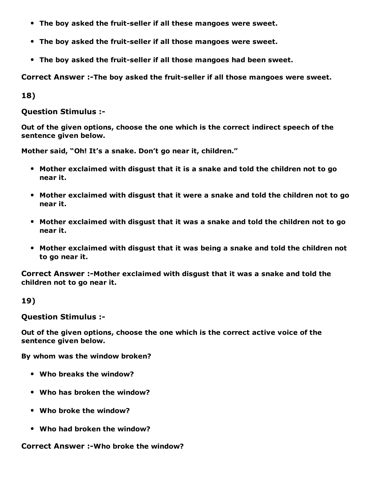- The boy asked the fruit-seller if all these mangoes were sweet.
- The boy asked the fruit-seller if all those mangoes were sweet.
- The boy asked the fruit-seller if all those mangoes had been sweet.

Correct Answer :-The boy asked the fruit-seller if all those mangoes were sweet.

18)

Question Stimulus :

Out of the given options, choose the one which is the correct indirect speech of the sentence given below.

Mother said, "Oh! It's a snake. Don't go near it, children."

- Mother exclaimed with disgust that it is a snake and told the children not to go near it.
- Mother exclaimed with disgust that it were a snake and told the children not to go near it.
- Mother exclaimed with disgust that it was a snake and told the children not to go near it.
- Mother exclaimed with disgust that it was being a snake and told the children not to go near it.

Correct Answer :-Mother exclaimed with disgust that it was a snake and told the children not to go near it.

19)

Question Stimulus :

Out of the given options, choose the one which is the correct active voice of the sentence given below.

By whom was the window broken?

- Who breaks the window?
- Who has broken the window?
- Who broke the window?
- Who had broken the window?

Correct Answer :-Who broke the window?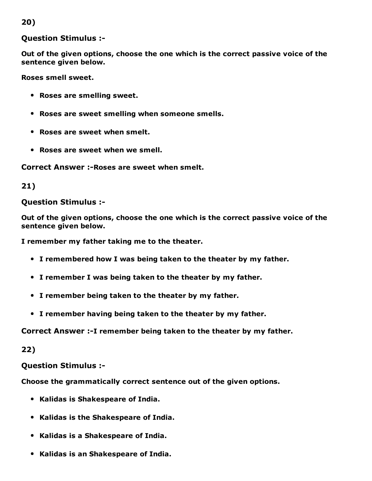### 20)

#### Question Stimulus :

Out of the given options, choose the one which is the correct passive voice of the sentence given below.

Roses smell sweet.

- Roses are smelling sweet.
- Roses are sweet smelling when someone smells.
- Roses are sweet when smelt.
- Roses are sweet when we smell.

Correct Answer :- Roses are sweet when smelt.

#### 21)

#### Question Stimulus :

Out of the given options, choose the one which is the correct passive voice of the sentence given below.

I remember my father taking me to the theater.

- I remembered how I was being taken to the theater by my father.
- I remember I was being taken to the theater by my father.
- I remember being taken to the theater by my father.
- I remember having being taken to the theater by my father.

#### Correct Answer :-I remember being taken to the theater by my father.

22)

Question Stimulus :

Choose the grammatically correct sentence out of the given options.

- Kalidas is Shakespeare of India.
- Kalidas is the Shakespeare of India.
- Kalidas is a Shakespeare of India.
- Kalidas is an Shakespeare of India.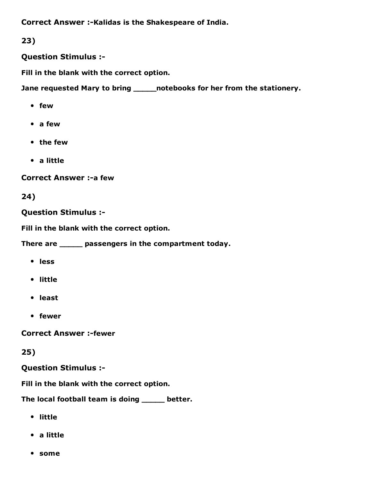Correct Answer :-Kalidas is the Shakespeare of India.

# 23)

Question Stimulus :

Fill in the blank with the correct option.

Jane requested Mary to bring \_\_\_\_\_\_ notebooks for her from the stationery.

- few
- a few
- the few
- a little

**Correct Answer :- a few** 

# 24)

Question Stimulus :

Fill in the blank with the correct option.

There are \_\_\_\_\_ passengers in the compartment today.

- less
- little
- least
- fewer

**Correct Answer :-fewer** 

# 25)

Question Stimulus :

Fill in the blank with the correct option.

The local football team is doing \_\_\_\_\_ better.

- little
- a little
- some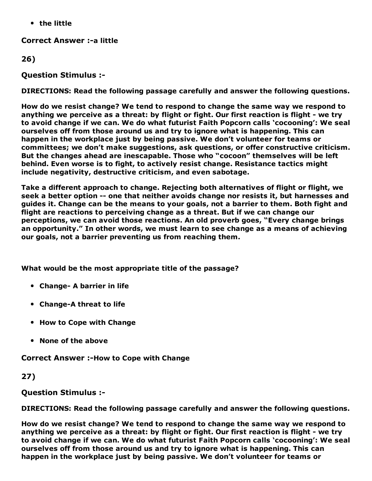• the little

**Correct Answer :- a little** 

26)

Question Stimulus :

DIRECTIONS: Read the following passage carefully and answer the following questions.

How do we resist change? We tend to respond to change the same way we respond to anything we perceive as a threat: by flight or fight. Our first reaction is flight - we try to avoid change if we can. We do what futurist Faith Popcorn calls 'cocooning': We seal ourselves off from those around us and try to ignore what is happening. This can happen in the workplace just by being passive. We don't volunteer for teams or committees; we don't make suggestions, ask questions, or offer constructive criticism. But the changes ahead are inescapable. Those who "cocoon" themselves will be left behind. Even worse is to fight, to actively resist change. Resistance tactics might include negativity, destructive criticism, and even sabotage.

Take a different approach to change. Rejecting both alternatives of flight or flight, we seek a better option -- one that neither avoids change nor resists it, but harnesses and guides it. Change can be the means to your goals, not a barrier to them. Both fight and flight are reactions to perceiving change as a threat. But if we can change our perceptions, we can avoid those reactions. An old proverb goes, "Every change brings an opportunity." In other words, we must learn to see change as a means of achieving our goals, not a barrier preventing us from reaching them.

What would be the most appropriate title of the passage?

- Change- A barrier in life
- Change-A threat to life
- How to Cope with Change
- None of the above

Correct Answer :-How to Cope with Change

27)

Question Stimulus :

DIRECTIONS: Read the following passage carefully and answer the following questions.

How do we resist change? We tend to respond to change the same way we respond to anything we perceive as a threat: by flight or fight. Our first reaction is flight - we try to avoid change if we can. We do what futurist Faith Popcorn calls 'cocooning': We seal ourselves off from those around us and try to ignore what is happening. This can happen in the workplace just by being passive. We don't volunteer for teams or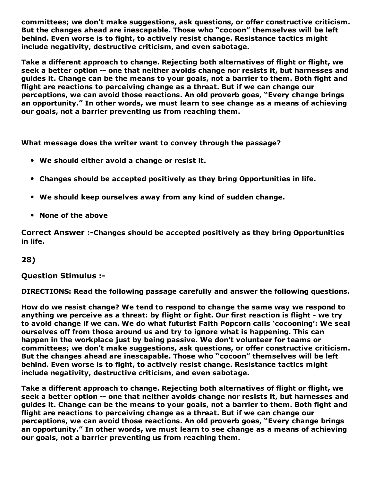committees; we don't make suggestions, ask questions, or offer constructive criticism. But the changes ahead are inescapable. Those who "cocoon" themselves will be left behind. Even worse is to fight, to actively resist change. Resistance tactics might include negativity, destructive criticism, and even sabotage.

Take a different approach to change. Rejecting both alternatives of flight or flight, we seek a better option -- one that neither avoids change nor resists it, but harnesses and guides it. Change can be the means to your goals, not a barrier to them. Both fight and flight are reactions to perceiving change as a threat. But if we can change our perceptions, we can avoid those reactions. An old proverb goes, "Every change brings an opportunity." In other words, we must learn to see change as a means of achieving our goals, not a barrier preventing us from reaching them.

What message does the writer want to convey through the passage?

- We should either avoid a change or resist it.
- Changes should be accepted positively as they bring Opportunities in life.
- We should keep ourselves away from any kind of sudden change.
- None of the above

Correct Answer :-Changes should be accepted positively as they bring Opportunities in life.

#### 28)

Question Stimulus :

DIRECTIONS: Read the following passage carefully and answer the following questions.

How do we resist change? We tend to respond to change the same way we respond to anything we perceive as a threat: by flight or fight. Our first reaction is flight - we try to avoid change if we can. We do what futurist Faith Popcorn calls 'cocooning': We seal ourselves off from those around us and try to ignore what is happening. This can happen in the workplace just by being passive. We don't volunteer for teams or committees; we don't make suggestions, ask questions, or offer constructive criticism. But the changes ahead are inescapable. Those who "cocoon" themselves will be left behind. Even worse is to fight, to actively resist change. Resistance tactics might include negativity, destructive criticism, and even sabotage.

Take a different approach to change. Rejecting both alternatives of flight or flight, we seek a better option -- one that neither avoids change nor resists it, but harnesses and guides it. Change can be the means to your goals, not a barrier to them. Both fight and flight are reactions to perceiving change as a threat. But if we can change our perceptions, we can avoid those reactions. An old proverb goes, "Every change brings an opportunity." In other words, we must learn to see change as a means of achieving our goals, not a barrier preventing us from reaching them.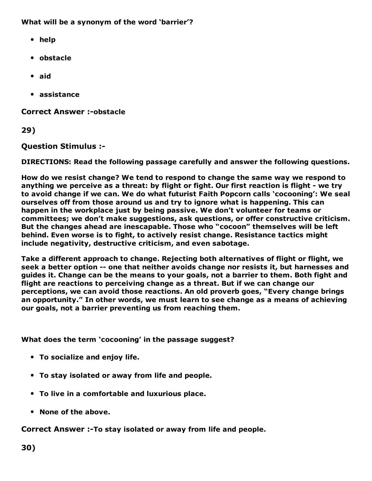#### What will be a synonym of the word 'barrier'?

- help
- obstacle
- aid
- assistance

**Correct Answer :-obstacle** 

29)

Question Stimulus :

DIRECTIONS: Read the following passage carefully and answer the following questions.

How do we resist change? We tend to respond to change the same way we respond to anything we perceive as a threat: by flight or fight. Our first reaction is flight - we try to avoid change if we can. We do what futurist Faith Popcorn calls 'cocooning': We seal ourselves off from those around us and try to ignore what is happening. This can happen in the workplace just by being passive. We don't volunteer for teams or committees; we don't make suggestions, ask questions, or offer constructive criticism. But the changes ahead are inescapable. Those who "cocoon" themselves will be left behind. Even worse is to fight, to actively resist change. Resistance tactics might include negativity, destructive criticism, and even sabotage.

Take a different approach to change. Rejecting both alternatives of flight or flight, we seek a better option -- one that neither avoids change nor resists it, but harnesses and guides it. Change can be the means to your goals, not a barrier to them. Both fight and flight are reactions to perceiving change as a threat. But if we can change our perceptions, we can avoid those reactions. An old proverb goes, "Every change brings an opportunity." In other words, we must learn to see change as a means of achieving our goals, not a barrier preventing us from reaching them.

What does the term 'cocooning' in the passage suggest?

- To socialize and enjoy life.
- To stay isolated or away from life and people.
- To live in a comfortable and luxurious place.
- None of the above.

Correct Answer :-To stay isolated or away from life and people.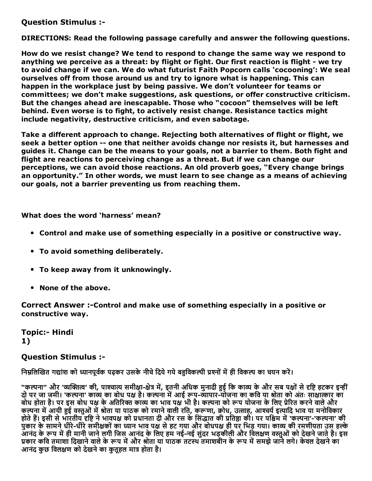Question Stimulus :

DIRECTIONS: Read the following passage carefully and answer the following questions.

How do we resist change? We tend to respond to change the same way we respond to anything we perceive as a threat: by flight or fight. Our first reaction is flight - we try to avoid change if we can. We do what futurist Faith Popcorn calls 'cocooning': We seal ourselves off from those around us and try to ignore what is happening. This can happen in the workplace just by being passive. We don't volunteer for teams or committees; we don't make suggestions, ask questions, or offer constructive criticism. But the changes ahead are inescapable. Those who "cocoon" themselves will be left behind. Even worse is to fight, to actively resist change. Resistance tactics might include negativity, destructive criticism, and even sabotage.

Take a different approach to change. Rejecting both alternatives of flight or flight, we seek a better option -- one that neither avoids change nor resists it, but harnesses and guides it. Change can be the means to your goals, not a barrier to them. Both fight and flight are reactions to perceiving change as a threat. But if we can change our perceptions, we can avoid those reactions. An old proverb goes, "Every change brings an opportunity." In other words, we must learn to see change as a means of achieving our goals, not a barrier preventing us from reaching them.

What does the word 'harness' mean?

- Control and make use of something especially in a positive or constructive way.
- To avoid something deliberately.
- To keep away from it unknowingly.
- None of the above.

Correct Answer :-Control and make use of something especially in a positive or constructive way.

Topic:- Hindi 1)

#### Question Stimulus :

निम्नलिखित गद्यांश को ध्यानपूर्वक पढ़कर उसके नीचे दिये गये बहविकल्पी प्रश्नों में ही विकल्प का चयन करें।

"कल्पना" और 'व्यक्तित्व' की, पाश्चात्य समीक्षा-क्षेत्र में, इतनी अधिक मुनादी हुई कि काव्य के और सब पक्षों से दृष्टि हटकर इन्हीं दो पर जा जमी। 'कल्पना' काव्य का बोध पक्ष है। कल्पना में आई रूप-व्यापार-योजना का कवि या श्रोता को अंतः साक्षात्कार का बोध होता है। पर इस बोध पक्ष के अतिरिक्त काव्य का भाव पक्ष भी है। कल्पना को रूप योजना के लिए प्रेरित करने वाले और कल्पना में आयी हुई वस्तुओं में श्रोता या पाठक को रमाने वाली रति, करूणा, क्रोध, उत्साह, आश्चर्य इत्यादि भाव या मनोविकार होते हैं। इसी से भारतीय दृष्टि ने भावपक्ष को प्रधानता दी और रस के सिद्धात की प्रतिष्ठा की। पर पश्चिम में 'कल्पना'-'कल्पना' की पुकार के सामने धीरे-धीरे समीक्षकों का ध्यान भाव पक्ष से हट गया और बोधपक्ष ही पर भिड़ गया। काव्य की रमणीयता उस हल्के आनंद के रूप में ही मानी जाने लगी जिस आनंद के लिए हम नई-नई सुंदर भड़कीली और विलक्षण वस्तुओं को देखने जाते है। इस प्रकार कवि तमाशा दिखाने वाले के रूप में और श्रोता या पाठक तटस्थ तमाशबीन के रूप में समझे जाने लगे। केवल देखने का आनंद कुछ विलक्षण को देखने का कुतुहल मात्र होता है।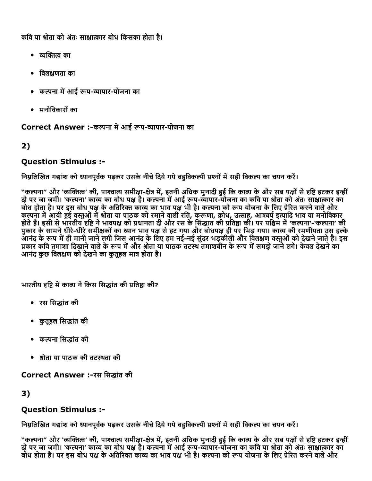कवि या श्रोता को अंतः साक्षात्कार बोध किसका होता है।

- व्यक्तित्व का
- िवलဌणता का
- कल्पना में आई रूप-व्यापार-योजना का
- मनोिवकारोंका

Correct Answer :-कल्पना में आई रूप-व्यापार-योजना का

### 2)

### Question Stimulus :

निम्नलिखित गद्यांश को ध्यानपूर्वक पढ़कर उसके नीचे दिये गये बहुविकल्पी प्रश्नों में सही विकल्प का चयन करें।

"कल्पना" और 'व्यक्तित्व' की, पाश्चात्य समीक्षा-क्षेत्र में, इतनी अधिक मुनादी हुई कि काव्य के और सब पक्षों से दृष्टि हटकर इन्हीं दो पर जा जमी। 'कल्पना' काव्य का बोध पक्ष है। कल्पना में आई रूप-व्यापार-योजना का कवि या श्रोता को अंतः साक्षात्कार का बोध होता है। पर इस बोध पक्ष के अतिरिक्त काव्य का भाव पक्ष भी है। कल्पना को रूप योजना के लिए प्रेरित करने वाले और कल्पना में आयी हुई वस्तुओं में श्रोता या पाठक को रमाने वाली रति, करूणा, क्रोध, उत्साह, आश्चर्य इत्यादि भाव या मनोविकार होते हैं। इसी से भारतीय दृष्टि ने भावपक्ष को प्रधानता दी और रस के सिद्धात की प्रतिष्ठा की। पर पश्चिम में 'कल्पना'-'कल्पना' की पुकार के सामने धीरे-धीरे समीक्षकों का ध्यान भाव पक्ष से हट गया और बोधपक्ष ही पर भिड़ गया। काव्य की रमणीयता उस हल्के आनंद के रूप में ही मानी जाने लगी जिस आनंद के लिए हम नई-नई सुंदर भड़कीली और विलक्षण वस्तुओं को देखने जाते है। इस प्रकार कवि तमाशा दिखाने वाले के रूप में और श्रीता या पाठक तटस्थ तमाशबीन के रूप में समझे जाने लगे। केवल देखने का आनंद कुछ विलक्षण को देखने का कतहल मात्र होता है।

भारतीय दृष्टि में काव्य ने किस सिद्धांत की प्रतिष्ठा की?

- रस सिद्धांत की
- कुतुहल सिद्धांत की
- कल्पना सिद्धांत की
- श्रोता या पाठक की तटस्थता की

Correct Answer :-रस सिद्धांत की

3)

### Question Stimulus :

निम्नलिखित गद्यांश को ध्यानपूर्वक पढ़कर उसके नीचे दिये गये बहविकल्पी प्रश्नों में सही विकल्प का चयन करें।

"कल्पना" और 'व्यक्तित्व' की, पाश्चात्य समीक्षा-क्षेत्र में, इतनी अधिक मुनादी हुई कि काव्य के और सब पक्षों से दृष्टि हटकर इन्हीं दो पर जा जमी। 'कल्पना' काव्य का बोध पक्ष है। कल्पना में आई रूप-व्यापार-योजना का कवि या श्रोता को अंतः साक्षात्कार का बोध होता है। पर इस बोध पक्ष के अतिरिक्त काव्य का भाव पक्ष भी है। कल्पना को रूप योजना के लिए प्रेरित करने वाले और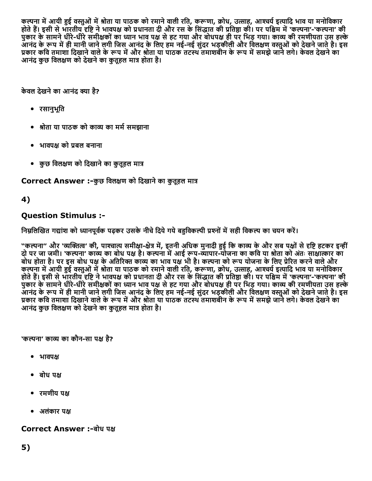कल्पना में आयी हुई वस्तुओं में श्रोता या पाठक को रमाने वाली रति, करूणा, क्रोध, उत्साह, आश्चर्य इत्यादि भाव या मनोविकार होते हैं। इसी से भारतीय दृष्टि ने भावपक्ष को प्रधानता दी और रस के सिद्धांत की प्रतिष्ठा की। पर पश्चिम में 'कल्पना'-'कल्पना' की पुकार के सामने धीरे-धीरे समीक्षकों का ध्यान भाव पक्ष से हट गया और बोधपक्ष ही पर भिड़ गया। काव्य की रमणीयता उस हल्के आनंद के रूप में ही मानी जाने लगी जिस आनंद के लिए हम नई-नई सुंदर भड़कीली और विलक्षण वस्तुओं को देखने जाते है। इस प्रकार कवि तमाशा दिखाने वाले के रूप में और श्रोता या पाठक तटस्थ तमाशबीन के रूप में समझे जाने लगे। केवल देखने का आनंद कुछ विलक्षण को देखने का कुतूहल मात्र होता है।

केवल देखने का आनंद क्या है?

- रसानुभूित
- श्रोता या पाठक को काव्य का मर्म समझाना
- भावपक्ष को प्रबल बनाना
- कुछ विलक्षण को दिखाने का कुतूहल मात्र

Correct Answer :-कुछ विलक्षण को दिखाने का कुतूहल मात्र

# 4)

# Question Stimulus :

निम्नलिखित गद्यांश को ध्यानपूर्वक पढ़कर उसके नीचे दिये गये बहविकल्पी प्रश्नों में सही विकल्प का चयन करें।

"कल्पना" और 'व्यक्तित्व' की, पाश्चात्य समीक्षा-क्षेत्र में, इतनी अधिक मुनादी हुई कि काव्य के और सब पक्षों से दृष्टि हटकर इन्हीं दो पर जा जमी। 'कल्पना' काव्य का बोध पक्ष है। कल्पना में आई रूप-व्यापार-योजना का कवि या श्रोता को अंतः साक्षात्कार का बोध होता है। पर इस बोध पक्ष के अतिरिक्त काव्य का भाव पक्ष भी है। कल्पना को रूप योजना के लिए प्रेरित करने वाले और कल्पना में आयी हुई वस्तुओं में श्रोता या पाठक को रमाने वाली रति, करूणा, क्रोध, उत्साह, आश्चर्य इत्यादि भाव या मनोविकार होते हैं। इसी से भारतीय दृष्टि ने भावपक्ष को प्रधानता दी और रस के सिद्धात की प्रतिष्ठा की। पर पश्चिम में 'कल्पना'-'कल्पना' की रेंग्नर के सामने धीरे-धीरे समीक्षकों का ध्यान भाव पक्ष से हट गया और बोधपक्ष ही पर भिड़ गया। काव्य की रमणीयता उस हल्के अनंद के रूप में ही मानी जाने लगी जिस आनंद के लिए हम नई-नई सुंदर भड़कीली और विलक्षण वस्तुओं को देखने जाते है। इस प्रकार कवि तमाशा दिखाने वाले के रूप में और श्रोता या पाठक तटस्थ तमाशबीन के रूप में समझे जाने लगे। केवल देखने का आनंद कुछ विलक्षण को देखने का कुतुहल मात्र होता है।

'कल्पना' काव्य का कौन-सा पक्ष है?

- भावपဌ
- बोध पဌ
- रमणीय पဌ
- अलंकार पक्ष

Correct Answer :-बोध पक्ष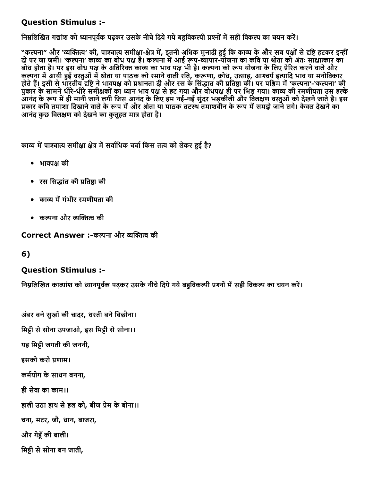### Question Stimulus :

निम्नलिखित गद्यांश को ध्यानपूर्वक पढ़कर उसके नीचे दिये गये बहुविकल्पी प्रश्नों में सही विकल्प का चयन करें।

"कल्पना" और 'व्यक्तित्व' की, पाश्चात्य समीक्षा-क्षेत्र में, इतनी अधिक मुनादी हुई कि काव्य के और सब पक्षों से दृष्टि हटकर इन्हीं दो पर जा जमी। 'कल्पना' काव्य का बोध पक्ष है। कल्पना में आई रूप-व्यापार-योजना का कवि या श्रोता को अंतः साक्षात्कार का बोध होता है। पर इस बोध पक्ष के अतिरिक्त काव्य का भाव पक्ष भी है। कल्पना को रूप योजना के लिए प्रेरित करने वाले और कल्पना में आयी हुई वस्तुओं में श्रोता या पाठक को रमाने वाली रति, करूणा, क्रोध, उत्साह, आश्चर्य इत्यादि भाव या मनोविकार होते हैं। इसी से भारतीय दृष्टि ने भावपक्ष को प्रधानता दी और रस के सिद्धात की प्रतिष्ठा की। पर पश्चिम में 'कल्पना'-'कल्पना' की पुकार के सामने धीरे-धीरे समीक्षकों का ध्यान भाव पक्ष से हट गया और बोधपक्ष ही पर भिड़ गया। काव्य की रमणीयता उस हल्के अनंद के रूप में ही मानी जाने लगी जिस आनंद के लिए हम नई-नई सुंदर भड़कीली और विलक्षण वस्तुओं को देखने जाते है। इस प्रकार कवि तमाशा दिखाने वाले के रूप में और श्रोता या पाठक तटस्थ तमाशबीन के रूप में समझे जाने लगे। केवल देखने का आनंद कुछ विलक्षण को देखने का कृतहल मात्र होता है।

काव्य में पाश्चात्य समीक्षा क्षेत्र में सर्वाधिक चर्चा किस तत्व को लेकर हुई है?

- भावपဌ की
- रस सिद्धांत की प्रतिष्ठा की
- काव्य में गंभीर रमणीयता की
- कल्पना और व्यक्तित्व की

Correct Answer :-कल्पना और व्यक्तित्व की

6)

### Question Stimulus :

निम्रलिखित काव्यांश को ध्यानपर्वक पढ़कर उसके नीचे दिये गये बहविकल्पी प्रश्नों में सही विकल्प का चयन करें।

अंबर बने सुखों की चादर, धरती बने बिछौना। मिट्टी से सोना उपजाओ, इस मिट्टी से सोना।। यह िमဌी जगती की जननी, इसको करो ꋾ︁णाम। कर्मयोग के साधन बनना, ही सेवा का काम।। हाली उठा हाथ से हल को, बीज प्रेम के बोना।। चना, मटर, जौ, धान, बाजरा, और गेငँकी बाली। मिट्टी से सोना बन जाती,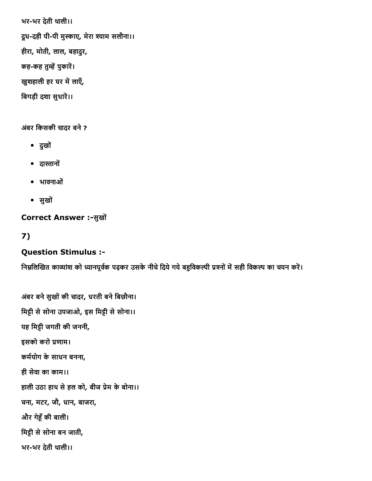भरभर देती थाली।। द्रध-दही पी-पी मुस्काए, मेरा श्याम सलौना।। हीरा, मोती, लाल, बहादुर, कह-कह तुम्हें पुकारें। खुशहाली हर घर में लाएँ, बिगड़ी दशा सुधारें।।

अंबर किसकी चादर बने ?

- दुखों
- दास्तानों
- भावनाओं
- सुखों

### Correct Answer :-सुखों

7)

# Question Stimulus :

निम्नलिखित काव्यांश को ध्यानपूर्वक पढ़कर उसके नीचे दिये गये बहुविकल्पी प्रश्नों में सही विकल्प का चयन करें।

अंबर बने सुखों की चादर, धरती बने बिछौना। मिट्टी से सोना उपजाओ, इस मिट्टी से सोना।। यह िमဌी जगती की जननी, इसको करो प्रणाम। कर्मयोग के साधन बनना, ही सेवा का काम।। हाली उठा हाथ से हल को, बीज प्रेम के बोना।। चना, मटर, जौ, धान, बाजरा, और गेငँकी बाली। मिट्टी से सोना बन जाती, भरभर देती थाली।।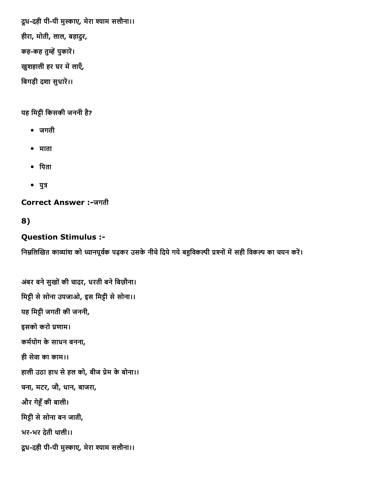द्रध-दही पी-पी मुस्काए, मेरा श्याम सलौना।। हीरा, मोती, लाल, बहादुर, कह-कह तुम्हें पुकारें। खुशहाली हर घर में लाएँ, बिगड़ी दशा सुधारें।।

### यह मिट्टी किसकी जननी है?

- जगती
- माता
- पिता
- $\bullet$  पुत्र

**Correct Answer :-जगती** 

### 8)

# Question Stimulus :

निम्नलिखित काव्यांश को ध्यानपूर्वक पढ़कर उसके नीचे दिये गये बहुविकल्पी प्रश्नों में सही विकल्प का चयन करें।

अंबर बने सुखों की चादर, धरती बने बिछौना। मिट्टी से सोना उपजाओ, इस मिट्टी से सोना।। यह िमဌी जगती की जननी, इसको करो ꋾ︁णाम। कर्मयोग के साधन बनना, ही सेवा का काम।। हाली उठा हाथ से हल को, बीज प्रेम के बोना।। चना, मटर, जौ, धान, बाजरा, और गेငँकी बाली। मिट्टी से सोना बन जाती, भरभर देती थाली।। द्रध-दही पी-पी मुस्काए, मेरा श्याम सलौना।।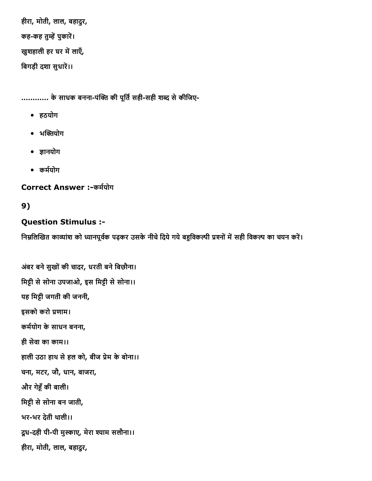हीरा, मोती, लाल, बहादुर, कह-कह तुम्हें पुकारें। खुशहाली हर घर में लाएँ, बिगड़ी दशा सुधारें।।

............ के साधक बनना-पंक्ति की पूर्ति सही-सही शब्द से कीजिए-

- हठयोग
- $\bullet$  भक्तियोग
- ज्ञानयोग
- कर्मयोग

Correct Answer :-कर्मयोग

9)

# Question Stimulus :

निम्नलिखित काव्यांश को ध्यानपूर्वक पढ़कर उसके नीचे दिये गये बहुविकल्पी प्रश्नों में सही विकल्प का चयन करें।

अंबर बने सुखों की चादर, धरती बने बिछौना। मिट्टी से सोना उपजाओ, इस मिट्टी से सोना।। यह िमဌी जगती की जननी, इसको करो प्रणाम। कर्मयोग के साधन बनना, ही सेवा का काम।। हाली उठा हाथ से हल को, बीज प्रेम के बोना।। चना, मटर, जौ, धान, बाजरा, और गेငँकी बाली। मिट्टी से सोना बन जाती, भरभर देती थाली।। दूध-दही पी-पी मुस्काए, मेरा श्याम सलौना।। हीरा, मोती, लाल, बहादुर,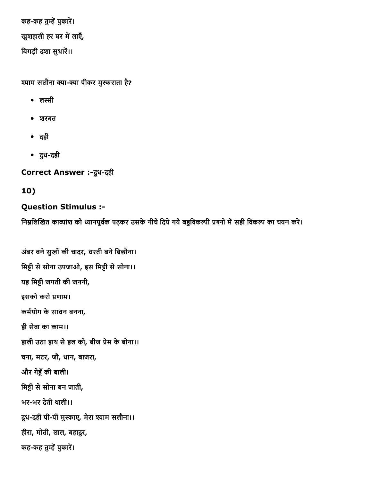कह-कह तुम्हें पुकारें। खुशहाली हर घर में लाएँ, बिगड़ी दशा सुधारें।।

श्याम सलौना क्या-क्या पीकर मुस्कराता है?

- लस्सी
- शरबत
- दही
- दूधदही

Correct Answer :- दूध-दही

# 10)

# Question Stimulus :

निम्नलिखित काव्यांश को ध्यानपूर्वक पढ़कर उसके नीचे दिये गये बहुविकल्पी प्रश्नों में सही विकल्प का चयन करें।

अंबर बने सुखों की चादर, धरती बने बिछौना। मिट्टी से सोना उपजाओ, इस मिट्टी से सोना।। यह िमဌी जगती की जननी, इसको करो ꋾ︁णाम। कर्मयोग के साधन बनना, ही सेवा का काम।। हाली उठा हाथ से हल को, बीज प्रेम के बोना।। चना, मटर, जौ, धान, बाजरा, और गेငँकी बाली। मिट्टी से सोना बन जाती, भरभर देती थाली।। द्रध-दही पी-पी मुस्काए, मेरा श्याम सलौना।। हीरा, मोती, लाल, बहादुर, कह-कह तुम्हें पुकारें।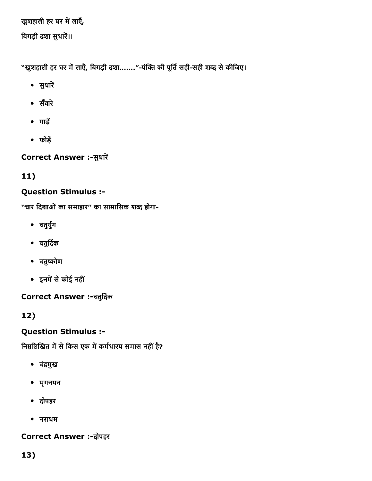खुशहाली हर घर में लाएँ,

बिगड़ी दशा सुधारें।।

"खुशहाली हर घर में लाएँ, बिगड़ी दशा......."-पंक्ति की पूर्ति सही-सही शब्द से कीजिए।

- सुधारें
- सँवारे
- $\bullet$  गाड़ें
- फोड़ें

Correct Answer :- सुधारें

11)

# Question Stimulus :

''चार दिशाओं का समाहार'' का सामासिक शब्द होगा-

- चतुर्युग
- चतुर्दिक
- चतुष्कोण
- इनमें से कोई नहीं

Correct Answer :-चतुर्दिक

12)

# Question Stimulus :

निम्नलिखित में से किस एक में कर्मधारय समास नहीं है?

- चंद्रमुख
- मृगनयन
- दोपहर
- नराधम

# Correct Answer :-दोपहर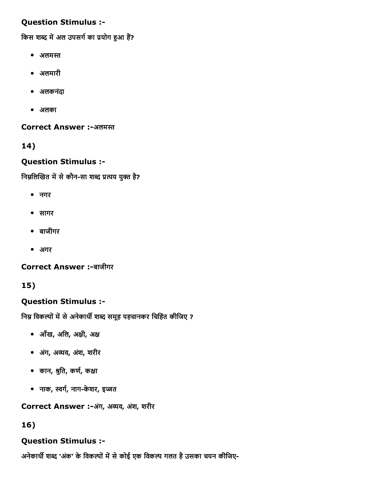# Question Stimulus :

किस शब्द में अल उपसर्ग का प्रयोग हुआ हैं?

- अलमस्त
- अलमारी
- अलकनंदा
- अलका

Correct Answer :-अलमस्त

# 14)

### Question Stimulus :

निम्नलिखित में से कौन-सा शब्द प्रत्यय युक्त है?

- नगर
- सागर
- बाजीगर
- अगर

Correct Answer :-बाजीगर

# 15)

# Question Stimulus :

निम्न विकल्पों में से अनेकार्थी शब्द समूह पहचानकर चिहिंत कीजिए ?

- आँख, अिल, अဌी, अဌ
- अगं, अꐁव, अशं, शरीर
- कान, श्रुति, कर्ण, कक्षा
- नाक, स्वर्ग, नाग-केशर, इज्जत

Correct Answer :-अंग, अव्यव, अंश, शरीर

# 16)

# Question Stimulus :

अनेकार्थी शब्द 'अंक' के विकल्पों में से कोई एक विकल्प गलत है उसका चयन कीजिए-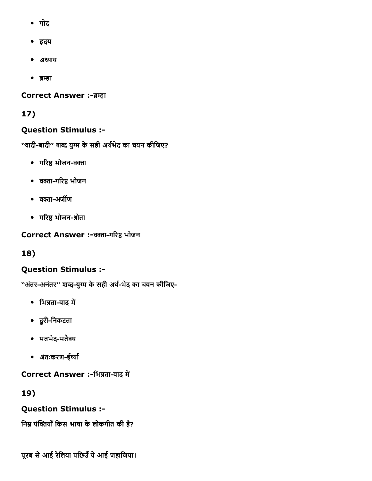- गोद
- ⼂दय
- अध्याय
- ब्रम्हा

### **Correct Answer :-ब्रम्हा**

# 17)

# Question Stimulus :

''वादी-बादी'' शब्द युग्म के सही अर्थभेद का चयन कीजिए?

- गरिष्ठ भोजन-वक्ता
- वक्ता-गरिष्ठ भोजन
- वक्ता-अर्जीण
- गरिष्ठ भोजन-श्रोता

Correct Answer :-वक्ता-गरिष्ठ भोजन

# 18)

# Question Stimulus :

''अंतर-अनंतर'' शब्द-युग्म के सही अर्थ-भेद का चयन कीजिए-

- भिन्नता-बाद में
- दूरीिनकटता
- मतभेद-मतैक्य
- अंतःकरण-ईर्ष्या

Correct Answer :-भिन्नता-बाद में

19)

# Question Stimulus :

निम्न पंक्तियाँ किस भाषा के लोकगीत की हैं?

पूरब से आई रेलिया पछिउँ ये आई जहाजिया।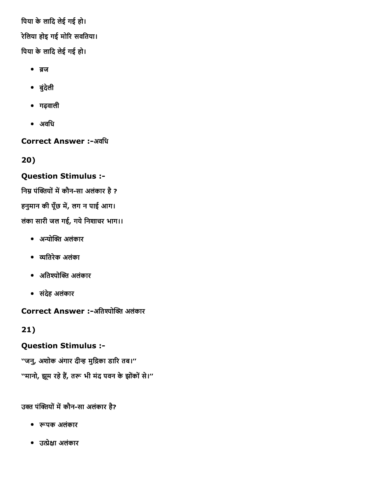िपया केलािद लेई गई हो। रेलिया होइ गई मोरि सवतिया। िपया केलािद लेई गई हो।

- ब्रज
- बुंदेली
- गढ़वाली
- अविध

**Correct Answer :-अवधि** 

20)

# Question Stimulus :

निम्न पंक्तियों में कौन-सा अलंकार है ?

हनुमान की पूँछ में, लग न पाई आग।

लंका सारी जल गई, गये निशाचर भाग।।

- अन्योक्ति अलंकार
- ꐁितरेक अलंका
- अतिश्योक्ति अलंकार
- संदेह अलंकार

Correct Answer :-अतिश्योक्ति अलंकार

21)

# Question Stimulus :

''जनु, अशोक अंगार दीन्ह मुद्रिका डारि तब।'' ''मानो, झूम रहे हैं, तरू भी मंद पवन के झोंकों से।''

उक्त पंक्तियों में कौन-सा अलंकार है?

- रूपक अलंकार
- उဇेဌा अलंकार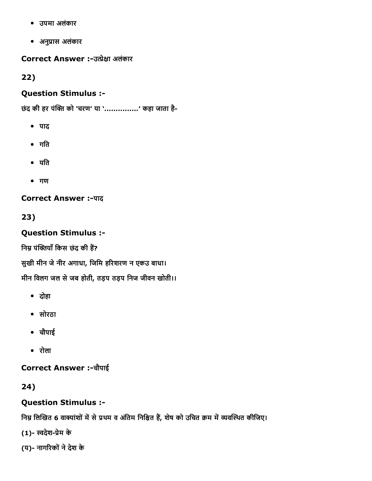- उपमा अलंकार
- अनुꋾ︁ास अलंकार

Correct Answer :-उत्प्रेक्षा अलंकार

22)

### Question Stimulus :

छंद की हर पंक्ति को 'चरण' या '...............' कहा जाता है-

- पाद
- गित
- यित
- गण

**Correct Answer :- पाद** 

23)

Question Stimulus :

निम्र पंक्तियाँ किस छंद की हैं?

सुखी मीन जे नीर अगाधा, जिमि हरिशरण न एकउ बाधा।

मीन विलग जल से जब होती, तड़प तड़प निज जीवन खोती।।

- दोहा
- सोरठा
- चौपाई
- रोला

Correct Answer :चौपाई

24)

# Question Stimulus :

निम्न लिखित 6 वाक्यांशों में से प्रथम व अंतिम निश्चित हैं, शेष को उचित क्रम में व्यवस्थित कीजिए।

(1)-स्वदेश-प्रेम के

(य)- नागरिकों ने देश के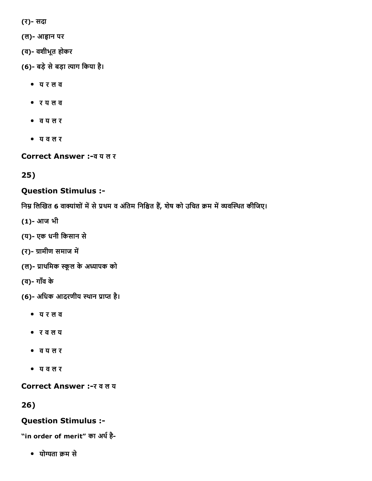(र)- सदा

- (ल)- आह्वान पर
- (व) वशीभूत होकर
- (6)- बड़े से बड़ा त्याग किया है।
	- य र ल व
	- र य ल व
	- व य ल र
	- य व ल र

Correct Answer :व य ल र

25)

#### Question Stimulus :

निम्न लिखित 6 वाक्यांशों में से प्रथम व अंतिम निश्चित हैं, शेष को उचित क्रम में व्यवस्थित कीजिए।

- (1) आज भी
- (य) एक धनी िकसान से
- (र)- ग्रामीण समाज में
- (ल)- प्राथमिक स्कूल के अध्यापक को
- (व) गाँव के
- (6)- अधिक आदरणीय स्थान प्राप्त है।
	- य र ल व
	- र व ल य
	- व य ल र
	- य व ल र

Correct Answer :- र व ल य

# 26)

#### Question Stimulus :

"in order of merit" का अर्थ है-

योता 䣾䀁म से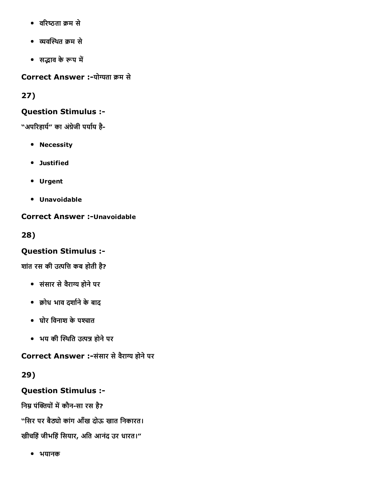- वरिष्ठता क्रम से
- ꐁव〇Āကथत 䣾䀁म से
- सद्भाव के रूप में

Correct Answer :-योग्यता क्रम से

27)

# Question Stimulus :

"अपरिहार्य" का अंग्रेजी पर्याय है-

- **•** Necessity
- Justified
- Urgent
- Unavoidable

# **Correct Answer :- Unavoidable**

28)

# Question Stimulus :

शांत रस की उत्पत्ति कब होती है?

- संसार से वैराग्य होने पर
- 䣾䀁ोध भाव दशा䣾缁नेकेबाद
- घोर िवनाश केपဏचात
- भय की स्थिति उत्पन्न होने पर

Correct Answer :-संसार से वैराग्य होने पर

29)

Question Stimulus :

निम्न पंक्तियों में कौन-सा रस है?

"सिर पर बैठ्यो कांग आँख दोऊ खात निकारत।

खीचहिं जीभहिं सियार, अति आनंद उर धारत।"

भयानक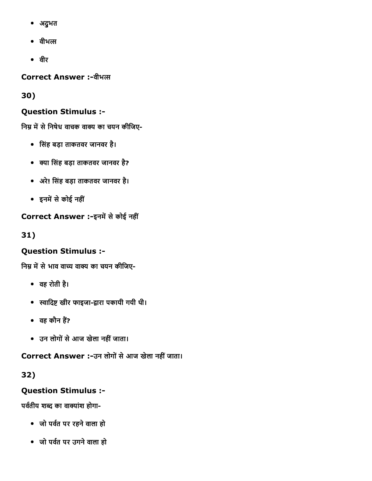- अद्ुभत
- $\bullet$  वीभत्स
- वीर

**Correct Answer :-वीभल** 

30)

# Question Stimulus :

निम्न में से निषेध वाचक वाक्य का चयन कीजिए-

- िसंह बड़ा ताकतवर जानवर है।
- क्या सिंह बड़ा ताकतवर जानवर है?
- अरे! िसंह बड़ा ताकतवर जानवर है।
- इनमें से कोई नहीं

Correct Answer :-इनमें से कोई नहीं

31)

# Question Stimulus :

निम्न में से भाव वाच्य वाक्य का चयन कीजिए-

- वह रोती है।
- स्वादिष्ट खीर फाइजा-द्वारा पकायी गयी थी।
- वह कौन हैं?
- उन लोगों से आज खेला नहीं जाता।

Correct Answer :-उन लोगों से आज खेला नहीं जाता।

32)

# Question Stimulus :

पर्वतीय शब्द का वाक्यांश होगा-

- जो पवत䣾缁पर रहनेवाला हो
- जो पर्वत पर उगने वाला हो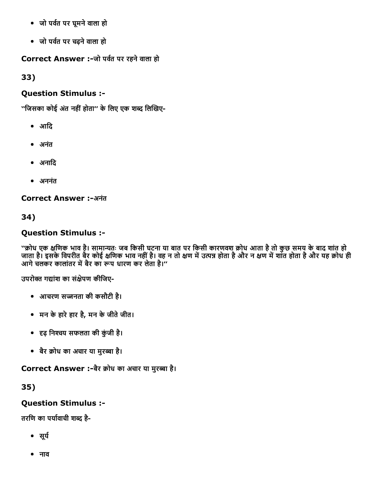- जो पवत䣾缁पर घूमनेवाला हो
- जो पवत䣾缁पर चढ़नेवाला हो

Correct Answer :-जो पर्वत पर रहने वाला हो

33)

# Question Stimulus :

''जिसका कोई अंत नहीं होता'' के लिए एक शब्द लिखिए-

- आिद
- अनंत
- अनादि
- अननंत

Correct Answer :-अनंत

34)

# Question Stimulus :

''क्रोध एक क्षणिक भाव है। सामान्यतः जब किसी घटना या बात पर किसी कारणवश क्रोध आता है तो कुछ समय के बाद शांत हो जाता है। इसके विपरीत बैर कोई क्षणिक भाव नहीं है। वह न तो क्षण में उत्पन्न होता है और न क्षण में शांत होता है और यह क्रोध ही आगे से इस माननारी में बैर का रूप धारण कर लेता है।''<br>आगे चलकर कालांतर में बैर का रूप धारण कर लेता है।''

उपरोक्त गद्यांश का संक्षेपण कीजिए-

- आचरण सဂनता की कसौटी है।
- मन केहारेहार है, मन केजीतेजीत।
- ꐁĀढ़ िनဏचय सफलता की कंुजी है।
- बैर क्रोध का अचार या मुरब्बा है।

Correct Answer :-बैर क्रोध का अचार या मुरब्बा है।

35)

# Question Stimulus :

तरणि का पर्यावाची शब्द है-

- सूर्य
- नाव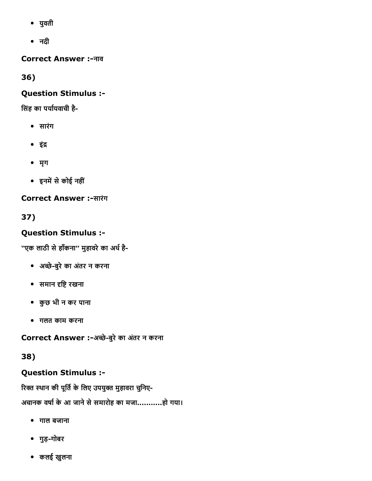- युवती
- नदी

Correct Answer :नाव

36)

# Question Stimulus :

सिंह का पर्यायवाची है-

- सारंग
- इंद्र
- मृग
- इनमें से कोई नहीं

**Correct Answer :-सारंग** 

37)

# Question Stimulus :

''एक लाठी से हाँकना'' मुहावरे का अर्थ है-

- अἆ砀ेबुरेका अतंर न करना
- समान दृष्टि रखना
- कुछ भी न कर पाना
- गलत काम करना

Correct Answer :-अच्छे-बुरे का अंतर न करना

# 38)

# Question Stimulus :

रिक्त स्थान की पूर्ति के लिए उपयुक्त मुहावरा चुनिए-अचानक वर्षा के आ जाने से समारोह का मजा............हो गया।

- गाल बजाना
- गुड़गोबर
- कलई खुलना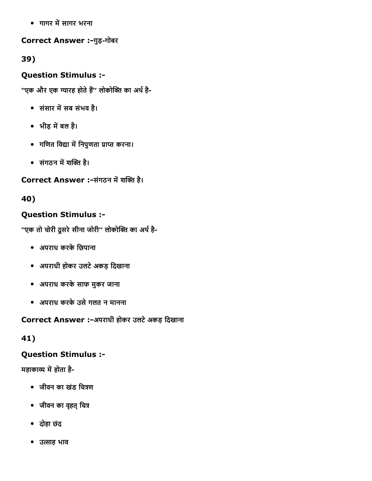• गागर में सागर भरना

Correct Answer :-गुड़-गोबर

39)

# Question Stimulus :

''एक और एक ग्यारह होते हैं'' लोकोक्ति का अर्थ है-

- संसार में सब संभव है।
- भीड़ में बल है।
- गणित विद्या में निपुणता प्राप्त करना।
- संगठन में शक्ति है।

# Correct Answer :-संगठन में शक्ति है।

# 40)

# Question Stimulus :

''एक तो चोरी दूसरे सीना जोरी'' लोकोक्ति का अर्थ है-

- अपराध करकेिछपाना
- अपराधी होकर उलटेअकड़ िदखाना
- अपराध करकेसाफ मुकर जाना
- अपराध करकेउसेगलत न मानना

Correct Answer :-अपराधी होकर उलटे अकड़ दिखाना

# 41)

# Question Stimulus :

महाकाव्य में होता है-

- जीवन का खंड चित्रण
- जीवन का वृहत् चित्र
- दोहा छंद
- उत्साह भाव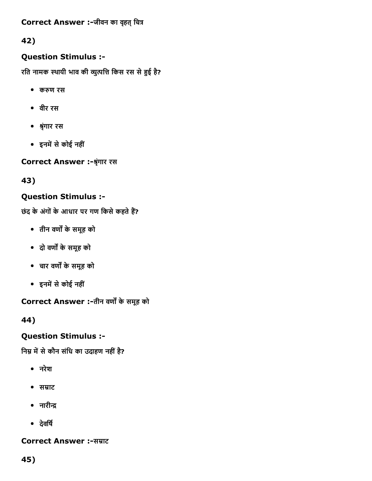Correct Answer :-जीवन का वृहत् चित्र

# 42)

# Question Stimulus :

रति नामक स्थायी भाव की व्युत्पत्ति किस रस से हुई है?

- करुण रस
- वीर रस
- 怂Āृंगार रस
- इनमें से कोई नहीं

Correct Answer :-श्रृंगार रस

43)

# Question Stimulus :

छंद के अंगों के आधार पर गण किसे कहते हैं?

- तीन वर्णों के समूह को
- दो वणဉ केसमूह को
- चार वणဉ केसमूह को
- इनमें से कोई नहीं

Correct Answer :-तीन वर्णों के समूह को

44)

# Question Stimulus :

निम्न में से कौन संधि का उदाहण नहीं है?

- नरेश
- सम्राट
- $\bullet$  नारीन्द्र
- देवर्षि

# **Correct Answer :-सम्राट**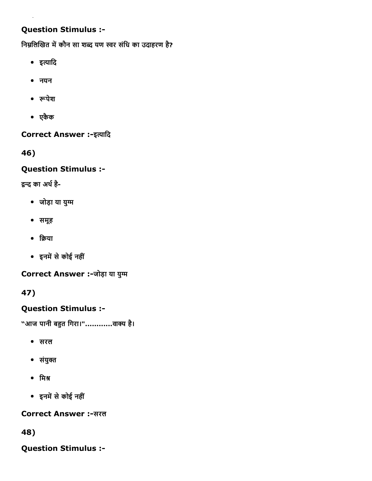# Question Stimulus :

निम्नलिखित में कौन सा शब्द यण स्वर संधि का उदाहरण है?

- इत्यादि
- नयन
- रूपेश
- एकैक

Correct Answer :-इत्यादि

46)

# Question Stimulus :

द्वन्द का अर्थ है-

- जोड़ा या युဈम
- समूह
- $\bullet$  क्रिया
- इनमें से कोई नहीं

Correct Answer :-जोड़ा या युग्म

47)

# Question Stimulus :

"आज पानी बहुत गिरा।".............वाक्य है।

- सरल
- संयुဏत
- मिश्र
- इनमें से कोई नहीं

Correct Answer :-सरल

48)

Question Stimulus :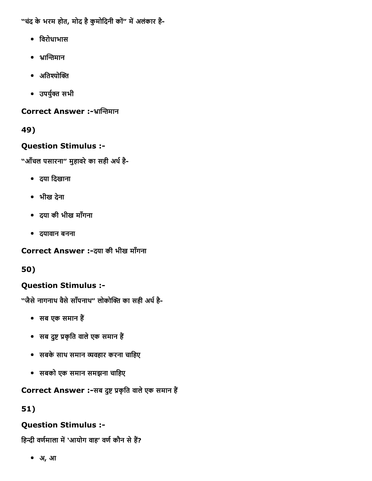"चंद के भरम होत, मोद है कुमोदिनी कों" में अलंकार है-

- िवरोधाभास
- भ्रान्तिमान
- $\bullet$  अतिश्योक्ति
- उपर्युक्त सभी

Correct Answer :-भ्रान्तिमान

49)

# Question Stimulus :

"आँचल पसारना" मुहावरे का सही अर्थ है-

- दया िदखाना
- भीख देना
- दया की भीख माँगना
- दयावान बनना

Correct Answer :-दया की भीख माँगना

50)

# Question Stimulus :

"जैसे नागनाथ वैसे साँपनाथ" लोकोक्ति का सही अर्थ है-

- सब एक समान हैं
- सब दुष्ट प्रकृति वाले एक समान हैं
- सबके साथ समान व्यवहार करना चाहिए
- सबको एक समान समझना चािहए

# Correct Answer :-सब दुष्ट प्रकृति वाले एक समान हैं

51)

# Question Stimulus :

हिन्दी वर्णमाला में 'आयोग वाह' वर्ण कौन से हैं?

अ, आ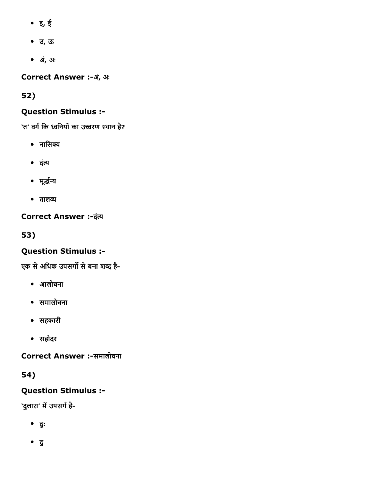- इ, ई
- उ, ऊ
- अ,ंअः

Correct Answer :-अं, अः

52)

# Question Stimulus :

'त' वर्ग कि ध्वनियों का उच्चरण स्थान है?

- $\bullet$  नासिक्य
- दंत्य
- मूर्द्धन्य
- $\bullet$  तालव्य

**Correct Answer :- दंत्य** 

53)

# Question Stimulus :

एक से अधिक उपसर्गो से बना शब्द है-

- आलोचना
- समालोचना
- सहकारी
- सहोदर

Correct Answer :-समालोचना

54)

Question Stimulus :

'दुलारा' में उपसर्ग है-

- दु:
- दु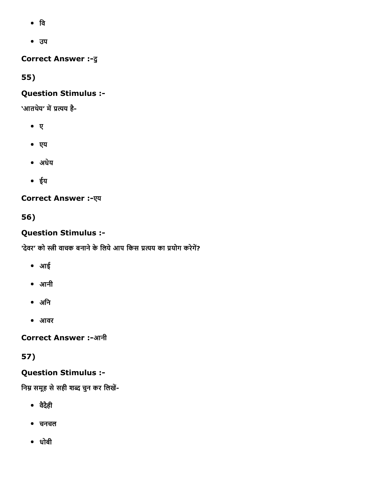- िव
- उप

**Correct Answer :- दु** 

55)

# Question Stimulus :

'आतथेय' में प्रत्यय है-

- ए
- एय
- अधेय
- ईय

**Correct Answer :- एय** 

56)

# Question Stimulus :

'देवर' को स्त्री वाचक बनाने के लिये आप किस प्रत्यय का प्रयोग करेगें?

- आई
- आनी
- अिन
- आवर

**Correct Answer :-आनी** 

# 57)

Question Stimulus :

निम्न समूह से सही शब्द चुन कर लिखें-

- वदैैही
- चनचल
- धोबी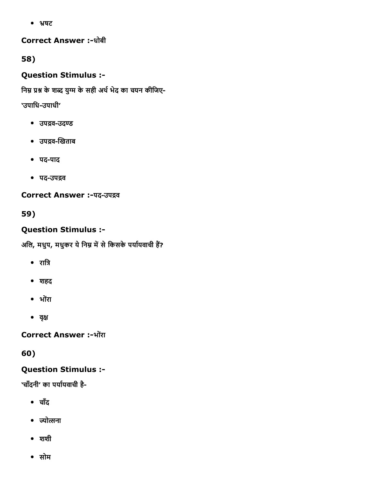षट

### Correct Answer :-धोबी

58)

Question Stimulus :

निम्न प्रश्न के शब्द युग्म के सही अर्थ भेद का चयन कीजिए-

'उपाधि-उपाधी'

- उपद्रव-उदण्ड
- उपद्रव-खिताब
- पद-पाद
- पद-उपद्रव

Correct Answer :-पद-उपद्रव

59)

# Question Stimulus :

अलि, मधुप, मधुकर ये निम्न में से किसके पर्यायवाची हैं?

- रािĀ
- शहद
- भोरंा
- वဌृ

Correct Answer :-भोंरा

60)

# Question Stimulus :

'चाँदनी' का पर्यायवाची है-

- चाँद
- ज्योत्सना
- $\bullet$  शशी
- सोम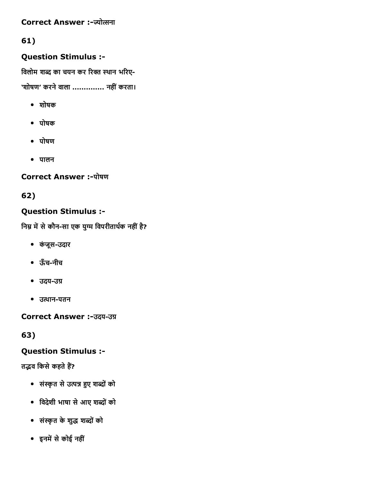### Correct Answer :-ज्योत्सना

# 61)

# Question Stimulus :

विलोम शब्द का चयन कर रिक्त स्थान भरिए-

'शोषण' करने वाला .............. नहीं करता।

- शोषक
- पोषक
- पोषण
- पालन

# Correct Answer :-पोषण

62)

# Question Stimulus :

निम्न में से कौन-सा एक युग्म विपरीतार्थक नहीं है?

- कंजूस-उदार
- ऊँचनीच
- उदय-उग्र
- उत्थान-पतन

Correct Answer :-उदय-उग्र

63)

# Question Stimulus :

तद्भव किसे कहते हैं?

- संस्कृत से उत्पन्न हुए शब्दों को
- िवदेशी भाषा सेआए शĀोंको
- संस्कृत के शुद्ध शब्दों को
- इनमें से कोई नहीं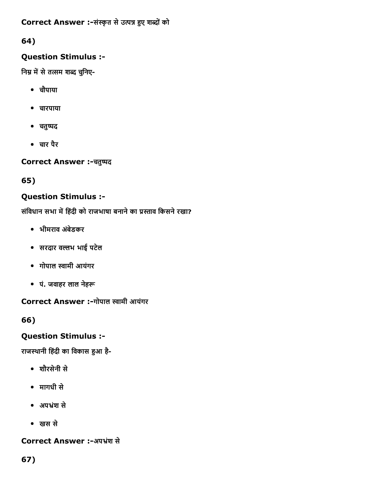Correct Answer :-संस्कृत से उत्पन्न हुए शब्दों को

64)

# Question Stimulus :

निम्न में से तत्सम शब्द चुनिए-

- चौपाया
- चारपाया
- चतुष्पद
- चार पैर

Correct Answer :-चतुष्पद

65)

# Question Stimulus :

संविधान सभा में हिंदी को राजभाषा बनाने का प्रस्ताव किसने रखा?

- भीमराव अबंेडकर
- सरदार वဈभ भाई पटेल
- गोपाल स्वामी आयंगर
- पं. जवाहर लाल नेहरू

Correct Answer :-गोपाल स्वामी आयंगर

66)

# Question Stimulus :

राजस्थानी हिंदी का विकास हुआ है-

- शौरसेनी से
- मागधी से
- अपंश से
- खस से

# Correct Answer :-अपभ्रंश से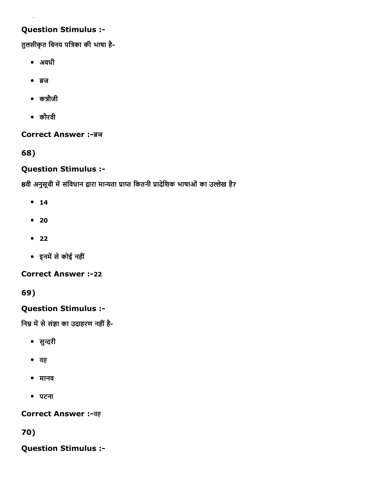# Question Stimulus :

तुलसीकृत विनय पत्रिका की भाषा है-

अवधी

 $\overline{\phantom{a}}$ 

- ब्रज
- कन्नौजी
- कौरवी

**Correct Answer :-ब्रज** 

68)

# Question Stimulus :

8वी अनुसूची में संविधान द्वारा मान्यता प्राप्त कितनी प्रादेशिक भाषाओं का उल्लेख है?

- $14$
- $20$
- $22$
- इनमें से कोई नहीं

**Correct Answer :-22** 

69)

# Question Stimulus :

निम्न में से संज्ञा का उदाहरण नहीं है-

- सुन्दरी
- वह
- मानव
- पटना

**Correct Answer :-वह** 

70)

Question Stimulus :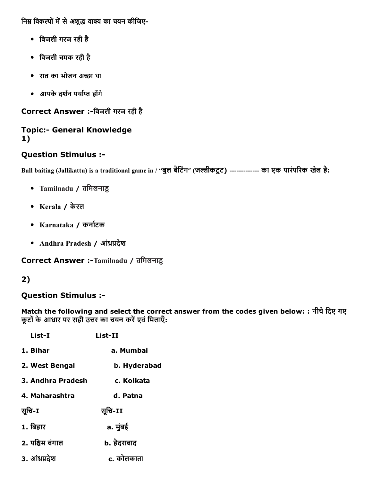निम्न विकल्पों में से अशुद्ध वाक्य का चयन कीजिए-

- िबजली गरज रही है
- िबजली चमक रही है
- रात का भोजन अἆ砀ा था
- आपके दर्शन पर्याप्त होंगे

Correct Answer :-बिजली गरज रही है

### **Topic:- General Knowledge** 1)

# Question Stimulus :

Bull baiting (Jallikattu) is a traditional game in / "बुल बैटिंग" (जल्लीकटूट) ------------- का एक पारंपरिक खेल है:

- Tamilnadu / तिमलनाडु
- Kerala / केरल
- Karnataka / कना䣾缁टक
- Andhra Pradesh / आंध्रप्रदेश

Correct Answer :-Tamilnadu / तमिलनाडु

# 2)

# Question Stimulus :

Match the following and select the correct answer from the codes given below: : नीचे दिए गए कूटों के आधार पर सही उत्तर का चयन करें एवं मिलाएँ:

| List-I            | $List-II$    |
|-------------------|--------------|
| 1. Bihar          | a. Mumbai    |
| 2. West Bengal    | b. Hyderabad |
| 3. Andhra Pradesh | c. Kolkata   |
| 4. Maharashtra    | d. Patna     |
| सूचि-I            | सूचि-II      |
| 1. बिहार          | a. मुंबई     |
| 2. पश्चिम बंगाल   | b. हैदराबाद  |
| 3. आंध्रप्रदेश    | c. कोलकाता   |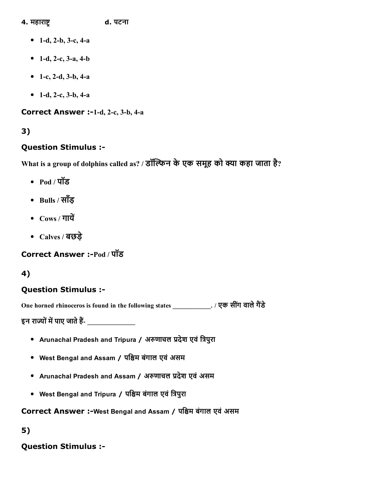#### 4. महाराĀင d. पटना

- 1-d, 2-b, 3-c, 4-a
- 1-d, 2-c,  $3-a$ ,  $4-b$
- 1-c, 2-d, 3-b, 4-a
- 1-d, 2-c, 3-b, 4-a

Correct Answer :-1-d, 2-c, 3-b, 4-a

# 3)

# Question Stimulus :

What is a group of dolphins called as? / डॉल्फिन के एक समूह को क्या कहा जाता है?

- Pod / पॉड
- Bulls / साँड
- $Cows / \pi \vec{u}$
- Calves / बछड़े

Correct Answer :-Pod / पॉड

# 4)

# Question Stimulus :

One horned rhinoceros is found in the following states \_\_\_\_\_\_\_\_\_\_\_\_\_. / एक सींग वाले गैंडे

इन राज्यों में पाए जाते हैं-

- Arunachal Pradesh and Tripura / अरुणाचल प्रदेश एवं त्रिपुरा
- West Bengal and Assam / पश्चिम बंगाल एवं असम
- Arunachal Pradesh and Assam / अरुणाचल प्रदेश एवं असम
- West Bengal and Tripura / पश्चिम बंगाल एवं त्रिपुरा

Correct Answer :-West Bengal and Assam / पश्चिम बंगाल एवं असम

### 5)

# Question Stimulus :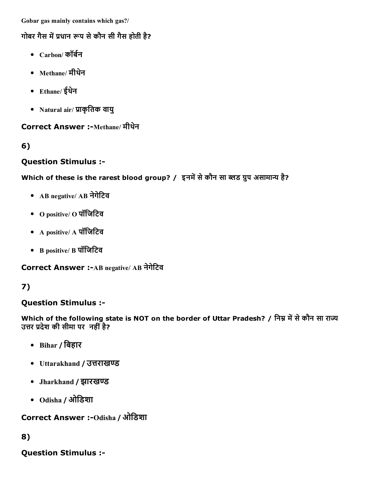Gobar gas mainly contains which gas?/

# गोबर गैस में प्रधान रूप से कौन सी गैस होती है?

- $C$ arbon/ कॉर्बन
- Methane/ मीथने
- Ethane/ ईथने
- Natural air/ प्राकृतिक वायु

# Correct Answer :-Methane/ मीथेन

6)

# Question Stimulus :

# Which of these is the rarest blood group? / इनमें से कौन सा ब्लड ग्रुप असामान्य है?

- AB negative/ AB नेगेटिव
- O positive/ O पॉिजिटव
- A positive/ A पॉिजिटव
- B positive/ B पॉिजिटव

**Correct Answer :- AB negative/ AB नेगेटिव** 

# 7)

# Question Stimulus :

Which of the following state is NOT on the border of Uttar Pradesh? / निम्न में से कौन सा राज्य उत्तर प्रदेश की सीमा पर नहीं है?

- Bihar / िबहार
- Uttarakhand / उत्तराखण्ड
- Jharkhand / झारखण्ड
- Odisha / ओिडशा

**Correct Answer :- Odisha / ओडिशा** 

# 8)

Question Stimulus :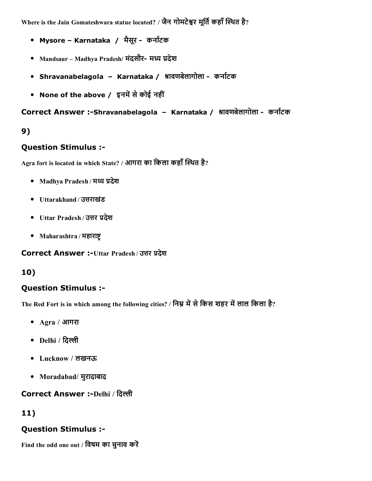Where is the Jain Gomateshwara statue located? / जैन गोमटेश्वर मूर्ति कहाँ स्थित है?

- Mysore Karnataka / मैसूर कर्नाटक
- Mandsaur Madhya Pradesh/ मंदसौर- मध्य प्रदेश
- Shravanabelagola Karnataka / श्रावणबेलागोला कर्नाटक
- None of the above / इनमें से कोई नहीं

Correct Answer :-Shravanabelagola - Karnataka / श्रावणबेलागोला - कर्नाटक

# 9)

# Question Stimulus :

Agra fort is located in which State? / आगरा का किला कहाँ स्थित है?

- Madhya Pradesh / मध्य प्रदेश
- Uttarakhand / उत्तराखंड
- Uttar Pradesh / उत्तर प्रदेश
- Maharashtra / महाराष्ट्

Correct Answer :-Uttar Pradesh / उत्तर प्रदेश

# 10)

# Question Stimulus :

The Red Fort is in which among the following cities? / निम्न में से किस शहर में लाल किला है?

- Agra / आगरा
- $\bullet$  Delhi / दिल्ली
- Lucknow / लखनऊ
- Moradabad/ मुरादाबाद

# **Correct Answer :-Delhi / दिल्ली**

# 11)

# Question Stimulus :

Find the odd one out / विषम का चुनाव करें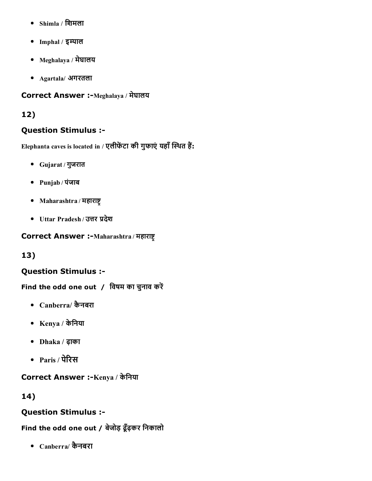- Shimla / िशमला
- Imphal / इम्पाल
- Meghalaya / मेघालय
- Agartala/ अगरतला

### Correct Answer :-Meghalaya / मेघालय

# 12)

### Question Stimulus :

Elephanta caves is located in / एलीफेंटा की गुफाएं यहाँ स्थित हैं:

- Gujarat / गुजरात
- Punjab / पंजाब
- Maharashtra / महाराष्ट्र
- Uttar Pradesh / उत्तर प्रदेश

#### Correct Answer :-Maharashtra / महाराष्ट्र

# 13)

# Question Stimulus :

Find the odd one out / विषम का चुनाव करें

- Canberra/ कैनबरा
- Kenya / केिनया
- Dhaka / ढ़ाका
- $\bullet$  Paris / पेरिस

# Correct Answer :-Kenya / केनिया

# 14)

# Question Stimulus :

# Find the odd one out / बेजोड़ ढूँढ़कर िनकालो

Canberra/ कैनबरा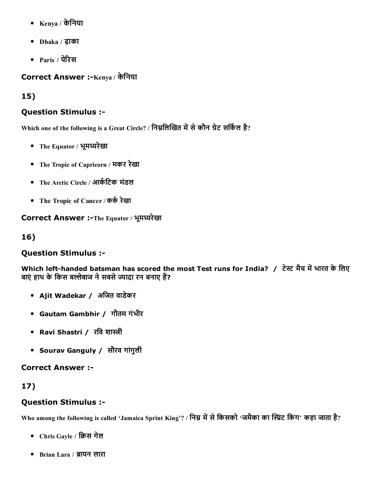- $\bullet$  Kenya / केनिया
- Dhaka / ढ़ाका
- Paris / पेरिस

Correct Answer :-Kenya / केनिया

15)

# Question Stimulus :

Which one of the following is a Great Circle? / निम्नलिखित में से कौन ग्रेट सर्किल है?

- The Equator / भूमध्यरेखा
- The Tropic of Capricorn / मकर रेखा
- The Arctic Circle / आर्कटिक मंडल
- The Tropic of Cancer / कर्क रेखा

Correct Answer :-The Equator / भूमध्यरेखा

16)

# Question Stimulus :

Which left-handed batsman has scored the most Test runs for India? / टेस्ट मैच में भारत के लिए बाएं हाथ के किस बल्लेबाज ने सबसे ज्यादा रन बनाए हैं?

- Ajit Wadekar / अिजत वाडेकर
- Gautam Gambhir / गौतम गंभीर
- Ravi Shastri / रवि शास्त्री
- Sourav Ganguly / सौरव गांगुली

Correct Answer :

# 17)

# Question Stimulus :

Who among the following is called 'Jamaica Sprint King'? / निम्न में से किसको 'जमैका का स्प्रिंट किंग' कहा जाता है?

- Chris Gayle / क्रिस गेल
- Brian Lara / ညायन लारा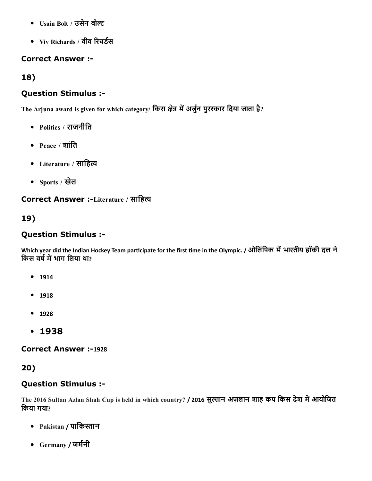- Usain Bolt / उसेन बोဇ
- Viv Richards / वीव रिचर्डस

### Correct Answer :

18)

### Question Stimulus :

The Arjuna award is given for which category/ किस क्षेत्र में अर्जुन पुरस्कार दिया जाता है?

- Politics / राजनीति
- $Peace / 2\pi \hat{d}$
- Literature / साहित्य
- Sports / खेल

### Correct Answer :-Literature / साहित्य

### 19)

### Question Stimulus :

Which year did the Indian Hockey Team participate for the first time in the Olympic. / ओलिंपिक में भारतीय हॉकी दल ने किस वर्ष में भाग लिया था?

- 1914
- 1918
- 1928
- $.1938$

**Correct Answer :-1928** 

### 20)

### Question Stimulus :

The 2016 Sultan Azlan Shah Cup is held in which country? / 2016 सुल्तान अज़लान शाह कप किस देश में आयोजित िकया गया?

- Pakistan / पाकिस्तान
- Germany / जर्मनी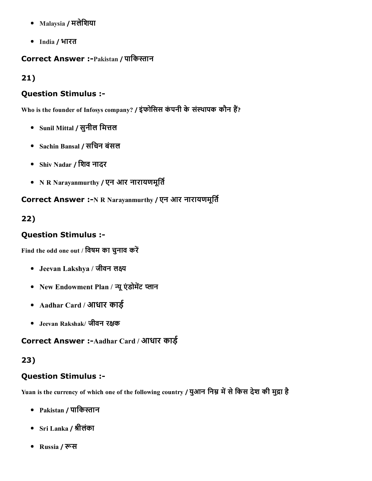- Malaysia / मलेिशया
- India / भारत

# Correct Answer :-Pakistan / पाकिस्तान

21)

### Question Stimulus :

Who is the founder of Infosys company? / इंफोसिस कंपनी के संस्थापक कौन हैं?

- Sunil Mittal / सुनील मित्तल
- Sachin Bansal / सिचन बंसल
- Shiv Nadar / िशव नादर
- N R Narayanmurthy / एन आर नारायणमूर्ति

Correct Answer :-N R Narayanmurthy / एन आर नारायणमूर्ति

22)

# Question Stimulus :

Find the odd one out / विषम का चुनाव करें

- Jeevan Lakshya / जीवन लक्ष्य
- New Endowment Plan / न्यू एंडोमेंट प्लान
- Aadhar Card / आधार कार्ड़
- Jeevan Rakshak/ जीवन रဌक

# Correct Answer :-Aadhar Card / आधार काई

# 23)

# Question Stimulus :

Yuan is the currency of which one of the following country / युआन निम्न में से किस देश की मुद्रा है

- Pakistan / पाकिस्तान
- Sri Lanka / 怂Āीलंका
- Russia / रूस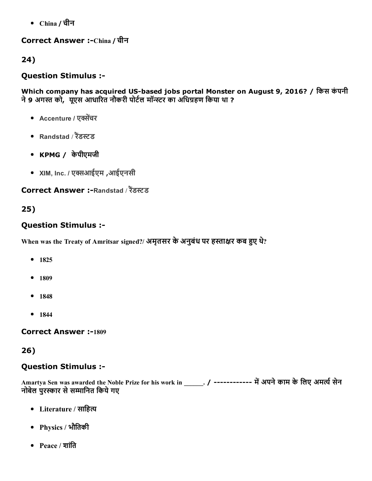China / चीन

Correct Answer :-China / चीन

24)

# Question Stimulus :

Which company has acquired US-based jobs portal Monster on August 9, 2016? / किस कंपनी ने 9 अगस्त को, यूएस आधारित नौकरी पोर्टल मॉन्स्टर का अधिग्रहण किया था ?

- Accenture / एक्सेंचर
- Randstad / रैंडस्टड
- KPMG / केपीएमजी
- XIM, Inc. / एشيआईएम ,आईएनसी

# Correct Answer :-Randstad / रैंडस्टड

# 25)

# Question Stimulus :

When was the Treaty of Amritsar signed?/ अमृतसर के अनुबंध पर हस्ताक्षर कब हुए थे?

- 1825
- $1809$
- 1848
- $1844$

**Correct Answer :-1809** 

26)

# Question Stimulus :

Amartya Sen was awarded the Noble Prize for his work in \_\_\_\_\_. / ----------- में अपने काम के लिए अमर्त्य सेन नोबेल पुरस्कार से सम्मानित किये गए

- Literature / साहित्य
- Physics / भौितकी
- Peace / शांति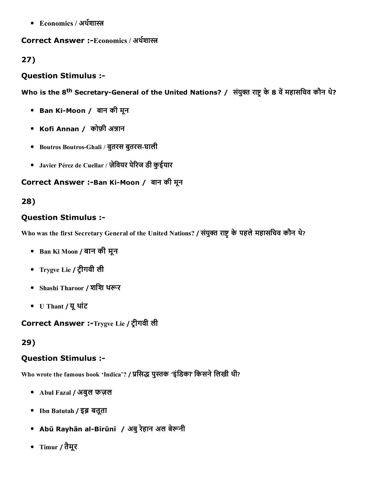• Economics / अर्थशास्त्र

### Correct Answer :-Economics / अर्थशास्त्र

# 27)

### Question Stimulus :

Who is the 8<sup>th</sup> Secretary-General of the United Nations? / संयुक्त राष्ट्र के 8 वें महासचिव कौन थे?

- Ban Ki-Moon / बान की मून
- Kofi Annan / कोफ़ी अन्नान
- Boutros Boutros-Ghali / बुतरस बुतरस-घाली
- Javier Pérez de Cuellar / ज़ेवियर पेरिज डी कुईयार

### Correct Answer :-Ban Ki-Moon / बान की मून

# 28)

# Question Stimulus :

Who was the first Secretary General of the United Nations? / संयुक्त राष्ट्र के पहले महासचिव कौन थे?

- Ban Ki Moon / बान की मून
- Trygve Lie / टငीगवी ली
- Shashi Tharoor / शशि थरूर
- U Thant / यूथांट

Correct Answer :-Trygve Lie / ट्रीगवी ली

# 29)

### Question Stimulus :

Who wrote the famous book 'Indica'? / प्रसिद्ध पुस्तक 'इंडिका' किसने लिखी थी?

- Abul Fazal / अबुल फज़ल
- Ibn Batutah / इब्न बतूता
- Abū Rayhān al-Bīrūnī / अबु रेहान अल बेरूनी
- Timur / तैमूर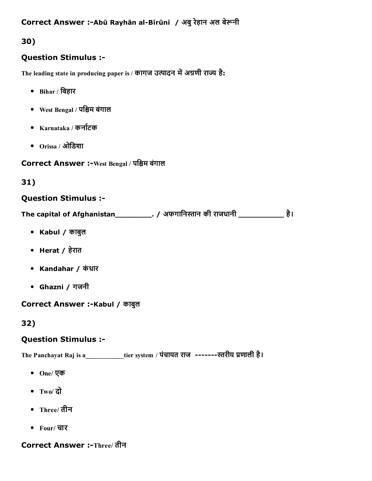Correct Answer :-Abū Rayhān al-Bīrūnī / अबु रेहान अल बेरूनी

# 30)

# Question Stimulus :

The leading state in producing paper is / कागज उत्पादन में अग्रणी राज्य है:

- $\bullet$  Bihar / बिहार
- West Bengal / पिငम बंगाल
- $\bullet$  Karnataka / कर्नाटक
- Orissa / ओिडशा

Correct Answer :-West Bengal / पश्चिम बंगाल

# 31)

### Question Stimulus :

The capital of Afghanistan\_\_\_\_\_\_\_\_\_\_\_. / अफगानिस्तान की राजधानी \_\_\_\_\_\_\_\_\_\_\_\_\_\_ है।

- Kabul / काबुल
- Herat / हेरात
- Kandahar / कंधार
- Ghazni / गजनी

# Correct Answer :-Kabul / काबुल

# 32)

# Question Stimulus :

The Panchayat Raj is a\_\_\_\_\_\_\_\_\_\_\_tier system / पंचायत राज -------स्तरीय प्रणाली है।

- One/ एक
- Two/ दो
- Three/ तीन
- Four/ चार

# Correct Answer :-Three/ तीन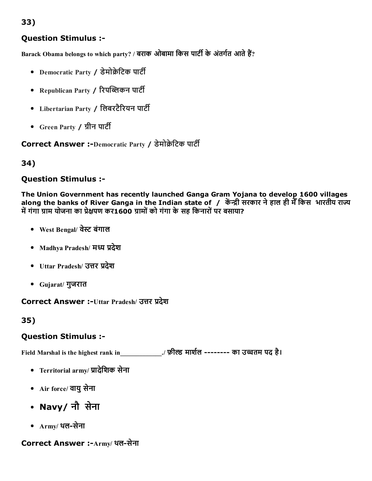# 33)

### Question Stimulus :

Barack Obama belongs to which party? / बराक ओबामा किस पार्टी के अंतर्गत आते हैं?

- Democratic Party / डेमोक्रेटिक पार्टी
- Republican Party / रिपब्लिकन पार्टी
- Libertarian Party / लिबरटैरियन पार्टी
- Green Party / ग्रीन पार्टी

Correct Answer :-Democratic Party / डेमोक्रेटिक पार्टी

### 34)

#### Question Stimulus :

The Union Government has recently launched Ganga Gram Yojana to develop 1600 villages along the banks of River Ganga in the Indian state of / केंन्द्री सरकार ने हाल ही मैँ किस भारतीय राज्य में गंगा ग्राम योजना का प्रेक्षपण कर1600 ग्रामों को गंगा के सह किनारों पर बसाया?

- West Bengal/ वेस्ट बंगाल
- Madhya Pradesh/ मध्य प्रदेश
- Uttar Pradesh/ उत्तर प्रदेश
- Gujarat/ गुजरात

Correct Answer :-Uttar Pradesh/ उत्तर प्रदेश

35)

### Question Stimulus :

Field Marshal is the highest rank in \_\_\_\_\_\_\_\_\_\_\_\_\_./ फ़ील्ड मार्शल -------- का उच्चतम पद है।

- Territorial army/ ꋾ︁ादेिशक सेना
- Air force/ वायु सेना
- Navy/ नौ सेना
- $Armv/$ थल-सेना

### Correct Answer :-Army/ थल-सेना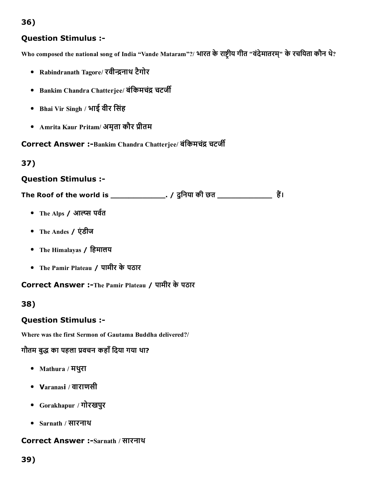# 36)

# Question Stimulus :

Who composed the national song of India "Vande Mataram"?/ भारत के राष्ट्रीय गीत "वंदेमातरम्" के रचयिता कौन थे?

- Rabindranath Tagore/ रवीन्द्रनाथ टैगोर
- Bankim Chandra Chatterjee/ बंकिमचंद्र चटर्जी
- Bhai Vir Singh / भाई वीर िसंह
- Amrita Kaur Pritam/ अमृता कौर प्रीतम

Correct Answer :-Bankim Chandra Chatterjee/ बंकिमचंद्र चटर्जी

# 37)

### Question Stimulus :

The Roof of the world is \_\_\_\_\_\_\_\_\_\_\_\_\_\_\_\_. / दुनिया की छत \_\_\_\_\_\_\_\_\_\_\_\_\_\_\_\_\_\_ हैं।

- The Alps / आल्प्स पर्वत
- The Andes / एंडीज
- The Himalayas / िहमालय
- The Pamir Plateau / पामीर केपठार

Correct Answer :-The Pamir Plateau / पामीर के पठार

### 38)

### Question Stimulus :

Where was the first Sermon of Gautama Buddha delivered?/

# गौतम बुद्ध का पहला प्रवचन कहाँ दिया गया था?

- Mathura / मथरुा
- Varanasi / वाराणसी
- Gorakhapur / गोरखपुर
- Sarnath / सारनाथ

#### Correct Answer :-Sarnath / सारनाथ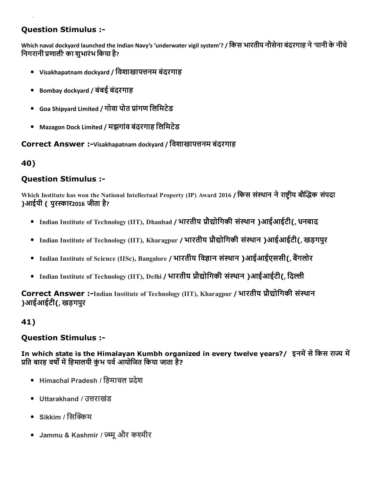# Question Stimulus :

Which naval dockyard launched the Indian Navy's 'underwater vigil system'? / िकस भारतीय नौसेना बंदरगाह ने'पानी केनीचे निगरानी प्रणाली' का शुभारंभ किया है?

- $\bullet$  Visakhapatnam dockvard / विशाखापत्तनम बंदरगाह
- Bombay dockyard / बंबई बंदरगाह
- Goa Shipyard Limited / गोवा पोत प्रांगण लिमिटेड
- Mazagon Dock Limited / मझगांव बंदरगाह िलिमटेड

#### Correct Answer :-Visakhapatnam dockvard / विशाखापत्तनम बंदरगाह

### 40)

#### Question Stimulus :

Which Institute has won the National Intellectual Property (IP) Award 2016 / किस संस्थान ने राष्ट्रीय बौद्धिक संपदा )आईपी ( पुरꀐार2016 जीता है?

- Indian Institute of Technology (IIT), Dhanbad / भारतीय प्रौद्योगिकी संस्थान)आईआईटी(, धनबाद
- Indian Institute of Technology (IIT), Kharagpur / भारतीय प्रौद्योगिकी संस्थान)आईआईटी(, खड़गपुर
- Indian Institute of Science (IISc), Bangalore / भारतीय विज्ञान संस्थान)आईआईएससी(, बैंगलोर
- Indian Institute of Technology (IIT), Delhi / भारतीय प्रौद्योगिकी संस्थान)आईआईटी(. दिल्ली

Correct Answer :-Indian Institute of Technology (IIT), Kharagpur / भारतीय प्रौद्योगिकी संस्थान )आईआईटी(, खड़गपुर

#### 41)

#### Question Stimulus :

In which state is the Himalayan Kumbh organized in every twelve years?/ इनमें से किस राज्य में प्रति बारह वर्षों में हिमालयी कंभ पर्व आयोजित किया जाता है?

- Himachal Pradesh / हिमाचल प्रदेश
- Uttarakhand / उत्तराखंड
- Sikkim / सिक्किम
- Jammu & Kashmir / ज्म्मू और कश्मीर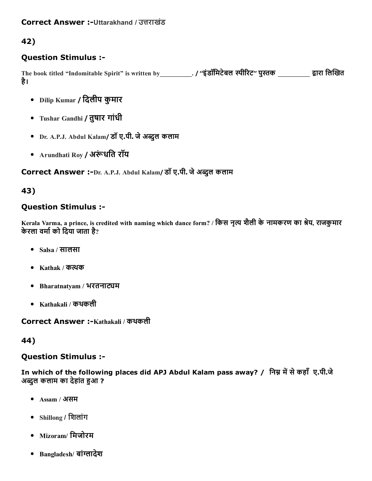# 42)

### Question Stimulus :

The book titled "Indomitable Spirit" is written by\_\_\_\_\_\_\_\_\_\_. / ''इंडॉमिटेबल स्पीरिट'' पुस्तक \_\_\_\_\_\_\_\_\_\_ द्वारा लिखित है।

- Dilip Kumar / दिलीप कुमार
- Tushar Gandhi / तुषार गांधी
- Dr. A.P.J. Abdul Kalam/ डॉ ए.पी. जे अब्दुल कलाम
- Arundhati Roy / अरूंधति रॉय

Correct Answer :-Dr. A.P.J. Abdul Kalam/ डॉ ए.पी. जे अब्दुल कलाम

### 43)

### Question Stimulus :

Kerala Varma, a prince, is credited with naming which dance form? / किस नृत्य शैली के नामकरण का श्रेय, राजकुमार केरला वर्मा को दिया जाता है?

- Salsa / सालसा
- Kathak / कत्थक
- Bharatnatyam / भरतनाट्यम
- Kathakali / कथकली

Correct Answer :-Kathakali / कथकली

#### 44)

#### Question Stimulus :

In which of the following places did APJ Abdul Kalam pass away? / निम्न में से कहाँ ए.पी.जे अब्दुल कलाम का देहांत हुआ ?

- Assam / असम
- Shillong / िशलांग
- Mizoram/ िमजोरम
- Bangladesh/ बांग्लादेश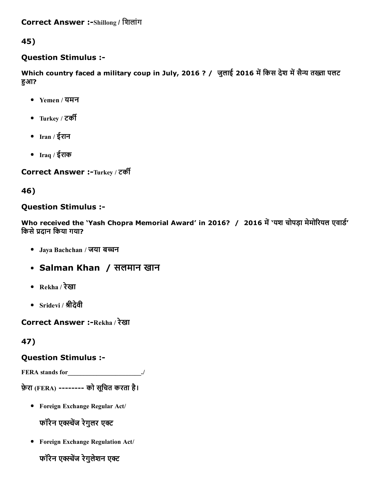45)

### Question Stimulus :

Which country faced a military coup in July, 2016 ? / जुलाई 2016 में किस देश में सैन्य तख्ता पलट हुआ?

- Yemen / यमन
- Turkey / टकꬂĀ
- Iran / ईरान
- Iraq / ईराक

Correct Answer :-Turkey / टर्की

46)

# Question Stimulus :

Who received the 'Yash Chopra Memorial Award' in 2016? / 2016 में 'यश चोपड़ा मेमोरियल एवार्ड' किसे प्रदान किया गया?

- Jaya Bachchan / जया बच्चन
- Salman Khan / सलमान खान
- $Rekha / \overline{2}$ खा
- Sridevi / श्रीदेवी

Correct Answer :-Rekha / रेखा

# 47)

# Question Stimulus :

FERA stands for \_\_\_\_\_\_\_\_\_\_\_\_\_\_\_\_\_\_\_\_\_\_\_./

फ़ेरा (FERA) -------- को सूचित करता है।

Foreign Exchange Regular Act/

फॉरेन एक्स्चेंज रेगुलर एक्ट

Foreign Exchange Regulation Act/

फॉरेन एक्स्चेंज रेगुलेशन एक्ट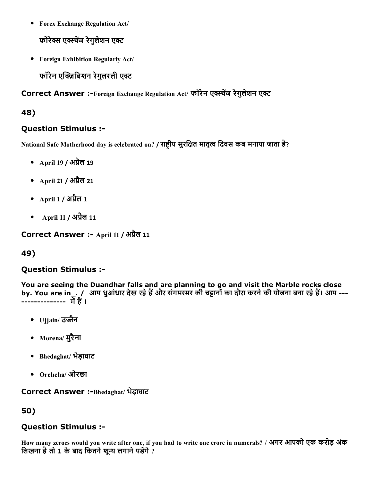Forex Exchange Regulation Act/

फ़ोरेक्स एक्स्चेंज रेगुलेशन एक्ट

Foreign Exhibition Regularly Act/  $\bullet$ 

फॉरेन एक्ज़िबिशन रेगुलरली एक्ट

Correct Answer :-Foreign Exchange Regulation Act/ फॉरेन एक्स्चेंज रेगुलेशन एक्ट

### 48)

### Question Stimulus :

National Safe Motherhood day is celebrated on? / राष्ट्रीय सुरक्षित मातृत्व दिवस कब मनाया जाता है?

- April 19 / अप्रैल 19
- April 21 / अप्रैल 21
- April 1 / अप्रैल 1
- April 11 / अप्रैल 11

Correct Answer :- April 11 / अप्रैल 11

# 49)

### Question Stimulus :

You are seeing the Duandhar falls and are planning to go and visit the Marble rocks close by. You are in\_. / आप धुआंधार देख रहे हैं और संगमरमर की चट्टानों का दौरा करने की योजना बना रहे हैं। आप ---------------- में हैं ।

- Ujjain/ उज्जैन
- Morena/ मुरैना
- Bhedaghat/ भेड़ाघाट
- Orchcha/ ओरछा

# Correct Answer :-Bhedaghat/ भेड़ाघाट

# 50)

# Question Stimulus :

How many zeroes would you write after one, if you had to write one crore in numerals? / अगर आपको एक करोड़ अंक लिखना है तो 1 के बाद कितने शून्य लगाने पडेंगे ?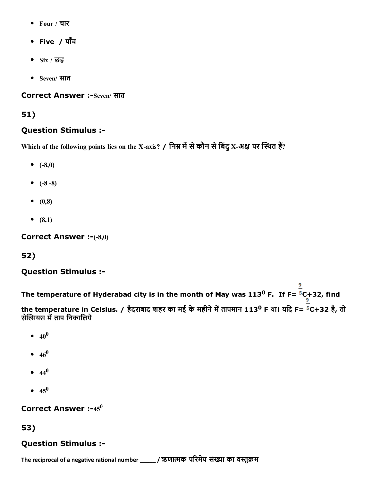- Four / चार
- Five / पाँच
- $\bullet$  Six / छह
- Seven/ सात

Correct Answer :-Seven/ सात

### 51)

### Question Stimulus :

Which of the following points lies on the X-axis? / निम्न में से कौन से बिंदु X-अक्ष पर स्थित हैं?

- $(-8,0)$
- $(-8-8)$
- $(0,8)$
- $(8,1)$

Correct Answer :-(-8,0)

# 52)

### Question Stimulus :

The temperature of Hyderabad city is in the month of May was 113<sup>0</sup> F. If F=  $5$ C+32, find the temperature in Celsius. / हैदराबाद शहर का मई के महीने में तापमान 113<sup>0</sup> F था। यदि F= <sup>5</sup>C+32 है, तो सेल्सियस में ताप निकालिये

- $40^0$
- $46^0$
- 44 0
- $45^{0}$

# Correct Answer  $:-45^0$

53)

# Question Stimulus :

The reciprocal of a negative rational number \_\_\_\_\_ / ऋणात्मक परिमेय संख्या का वस्तुक्रम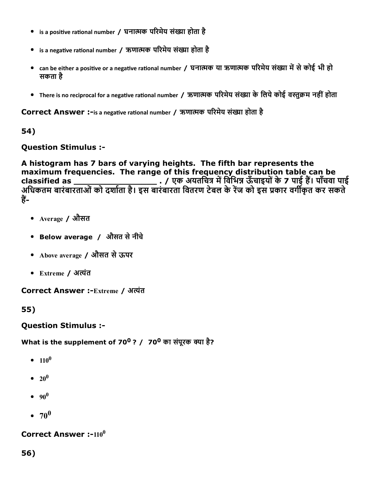- $\bullet$  is a positive rational number / घनात्मक परिमेय संख्या होता है
- $\bullet$  is a negative rational number / ऋणात्मक परिमेय संख्या होता है
- can be either a positive or a negative rational number / घनात्मक या ऋणात्मक परिमेय संख्या में से कोई भी हो सकता है
- There is no reciprocal for a negative rational number / ऋणात्मक परिमेय संख्या के लिये कोई वस्तुक्रम नहीं होता

Correct Answer :-is a negative rational number / ऋणात्मक परिमेय संख्या होता है

### 54)

Question Stimulus :

A histogram has 7 bars of varying heights. The fifth bar represents the maximum frequencies. The range of this frequency distribution table can be classified as \_\_\_\_\_\_\_\_\_\_\_\_\_\_\_\_ . / एक अयतिचĀ मꋾ영िविभ栁Ā ऊँचाइयोंके7 पाई ह䨃। पाँचवा पाई अधिकतम बारंबारताओं को दर्शाता है। इस बारंबारता वितरण टेबल के रेज को इस प्रकार वर्गीकृत कर सकते हें-

- Average / औसत
- Below average / औसत सेनीचे
- Above average / औसत सेऊपर
- Extreme / अꐁĀंत

Correct Answer :-Extreme / अत्यंत

55)

### Question Stimulus :

What is the supplement of 70<sup>0</sup> ? /  $\,$  70<sup>0</sup> का संपूरक क्या है?

- $110^0$
- $20^0$
- 90 0
- 70 0

### Correct Answer :- $110^0$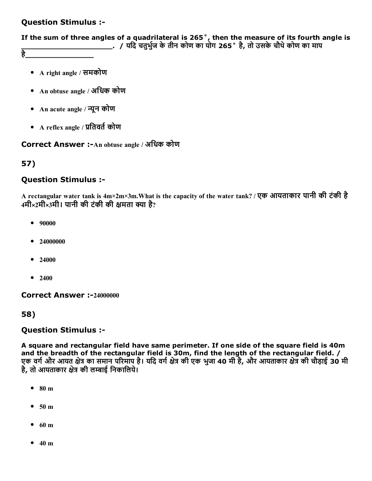### Question Stimulus :

If the sum of three angles of a quadrilateral is 265˚, then the measure of its fourth angle is \_\_\_\_\_\_\_\_\_\_\_\_\_\_\_\_\_\_\_\_. / यिद चतुभु䣾缁ज केतीन कोण का योग 265˚ है, तो उसकेचौथेकोण का माप

है\_\_\_\_\_\_\_\_\_\_\_\_\_\_\_

- A right angle / समकोण
- An obtuse angle / अिधक कोण
- An acute angle / न्यून कोण
- A reflex angle / प्रतिवर्त कोण

Correct Answer :- An obtuse angle / अधिक कोण

### 57)

#### Question Stimulus :

A rectangular water tank is 4m×2m×3m.What is the capacity of the water tank? / एक आयताकार पानी की टंकी है 4मी×2मी×3मी। पानी की टंकी की क्षमता क्या है?

- 90000
- 24000000
- 24000
- $2400$

Correct Answer :-24000000

58)

#### Question Stimulus :

A square and rectangular field have same perimeter. If one side of the square field is 40m and the breadth of the rectangular field is 30m, find the length of the rectangular field. / एक वर्ग और आयत क्षेत्र का समान परिमाप है। यदि वर्ग क्षेत्र की एक भुजा 40 मी है, और आयताकार क्षेत्र की चौड़ाई 30 मी है, तो आयताकार क्षेत्र की लम्बाई निकालिये।

- 80 m
- $\bullet$  50 m
- 60 m
- $\bullet$  40 m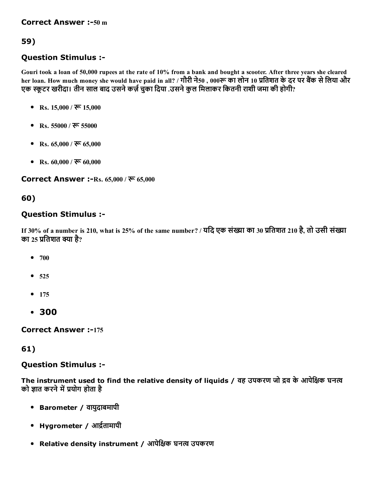# 59)

# Question Stimulus :

Gouri took a loan of 50,000 rupees at the rate of 10% from a bank and bought a scooter. After three years she cleared her loan. How much money she would have paid in all? / गौरी ने50, 000रू का लोन 10 प्रतिशत के दर पर बैंक से लिया और एक स्कूटर खरीदा। तीन साल बाद उसने कर्ज़ चुका दिया .उसने कुल मिलाकर कितनी राशी जमा की होगी?

- Rs.  $15,000 / \sqrt[3]{6} 15,000$
- Rs. 55000 / रू 55000
- Rs.  $65,000 /$   $\overline{\mathcal{R}}$   $65,000$
- Rs.  $60,000 / \overline{\mathcal{R}}$  60,000

Correct Answer :-Rs. 65,000 / ক্ষ 65,000

### 60)

### Question Stimulus :

If 30% of a number is 210, what is 25% of the same number? / यदि एक संख्या का 30 प्रतिशत 210 है, तो उसी संख्या का 25 प्रतिशत क्या है?

- $700$
- $525$
- $175$
- 300

**Correct Answer :-175** 

### 61)

### Question Stimulus :

The instrument used to find the relative density of liquids / वह उपकरण जो द्रव के आपेक्षिक घनत्व को ज्ञात करने में प्रयोग होता है

- Barometer / वायुदाबमापी
- Hygrometer / आर्द्रतामापी
- Relative density instrument / आपेक्षिक घनत्व उपकरण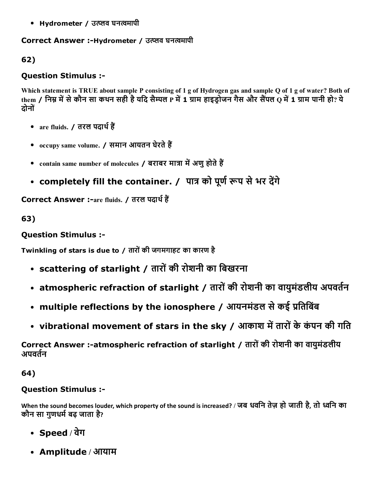• Hydrometer / उत्प्लव घनत्वमापी

# Correct Answer :-Hydrometer / उत्प्लव घनत्वमापी

62)

# Question Stimulus :

Which statement is TRUE about sample P consisting of 1 g of Hydrogen gas and sample Q of 1 g of water? Both of them / निम्न में से कौन सा कथन सही है यदि सैम्पल P में 1 ग्राम हाइडोजन गैस और सैंपल Q में 1 ग्राम पानी हो? ये दोनों

- are fluids. / तरल पदार्थ हैं
- $occupv$  same volume. / समान आयतन घेरते हैं
- contain same number of molecules / बराबर मात्रा में अणु होते हैं
- completely fill the container. / पात्र को पूर्ण रूप से भर देंगे

Correct Answer :-are fluids. / तरल पदार्थ हैं

63)

# Question Stimulus :

Twinkling of stars is due to / तारोंकी जगमगाहट का कारण है

- scattering of starlight / तारों की रोशनी का बिखरना
- atmospheric refraction of starlight / तारों की रोशनी का वायुमंडलीय अपवर्तन
- multiple reflections by the ionosphere / आयनमंडल से कई प्रतिबिंब
- vibrational movement of stars in the sky / आकाश में तारों के कंपन की गति

Correct Answer :-atmospheric refraction of starlight / तारों की रोशनी का वायुमंडलीय अपवर्तन

64)

# Question Stimulus :

When the sound becomes louder, which property of the sound is increased? / जब धविन तेज़ हो जाती है, तो ဋिन का कौन सा गणधर्म बढ़ जाता है?

- Speed / वेग
- Amplitude / आयाम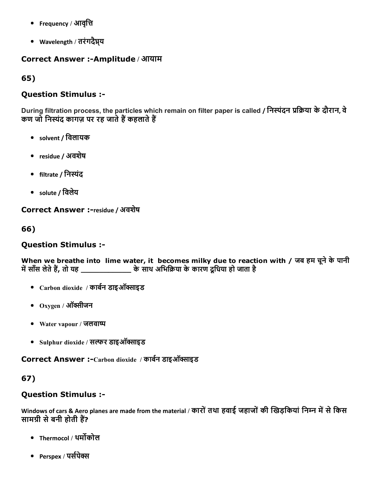- Frequency / आवृत्ति
- Wavelength / तरंगदैघ्रय

### Correct Answer :-Amplitude / आयाम

65)

### Question Stimulus :

During filtration process, the particles which remain on filter paper is called / निस्पंदन प्रक्रिया के दौरान, वे कण जो निस्यंद कागज़ पर रह जाते हैं कहलाते हैं

- solvent / िवलायक
- residue / अवशेष
- filtrate / निस्पंद
- solute / िवलेय

Correct Answer :-residue / अवशेष

66)

### Question Stimulus :

When we breathe into lime water, it becomes milky due to reaction with / जब हम चूने के पानी मꋾ영साँस लेतेह䨃, तो यह \_\_\_\_\_\_\_\_\_\_\_ केसाथ अिभि䣾䀁या केकारण दूिधया हो जाता है

- $\bullet$  Carbon dioxide / कार्बन डाइऑक्साइड
- $\bullet$   $_{\rm Oxygen}$  / ऑक्सीजन
- Water vapour / जलवाခ
- Sulphur dioxide / सल्फर डाइऑक्साइड

Correct Answer :-Carbon dioxide / कार्बन डाइऑक्साइड

# 67)

### Question Stimulus :

Windows of cars & Aero planes are made from the material / कारों तथा हवाई जहाजों की खिड़कियां निम्न में से किस सामग्री से बनी होती हैं?

- Thermocol / थर्मोकोल
- Perspex / पर्सपेक्स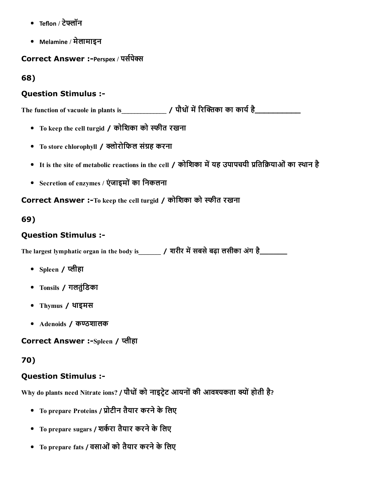- Teflon / टेफ्लॉन
- Melamine / मेलामाइन

Correct Answer :-Perspex / पर्सपेक्स

68)

### Question Stimulus :

The function of vacuole in plants is\_\_\_\_\_\_\_\_\_\_\_\_\_\_ / पौधोंमꋾ영昆र〇Āဈका का काय䣾缁है\_\_\_\_\_\_\_\_\_\_

- To keep the cell turgid / कोिशका को ငीत रखना
- To store chlorophyll / क्लोरोफिल संग्रह करना
- It is the site of metabolic reactions in the cell / कोशिका में यह उपापचयी प्रतिक्रियाओं का स्थान है
- Secretion of enzymes / एंजाइमों का निकलना

Correct Answer :-To keep the cell turgid / कोशिका को स्फीत रखना

# 69)

# Question Stimulus :

The largest lymphatic organ in the body is\_\_\_\_\_\_\_ / शरीर मꋾ영सबसेबढ़ा लसीका अंग है\_\_\_\_\_\_

- Spleen / 灿ीहा
- Tonsils / गलतुंिडका
- Thymus / थाइमस
- Adenoids / कण्ठशालक

Correct Answer :-Spleen / प्लीहा

# 70)

# Question Stimulus :

Why do plants need Nitrate ions? / पौधों को नाइट्रेट आयनों की आवश्यकता क्यों होती है?

- To prepare Proteins / प्रोटीन तैयार करने के लिए
- To prepare sugars / शर्करा तैयार करने के लिए
- To prepare fats / वसाओं को तैयार करने के लिए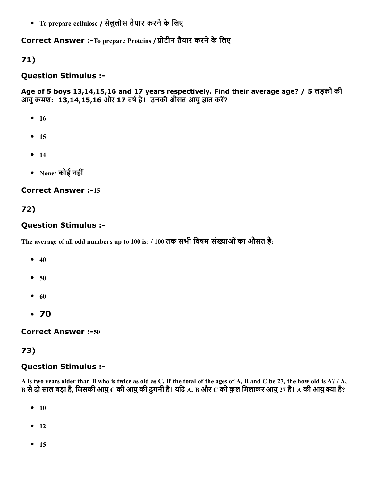• To prepare cellulose / सेलुलोस तैयार करने के लिए

### Correct Answer :-To prepare Proteins / प्रोटीन तैयार करने के लिए

### 71)

#### Question Stimulus :

Age of 5 boys 13,14,15,16 and 17 years respectively. Find their average age? / 5 लड़कोंकी आयु क्रमश: 13,14,15,16 और 17 वर्ष है। उनकी औसत आयु ज्ञात करें?

- $16$
- $15$
- $14$
- None/ कोई नहीं

#### **Correct Answer :-15**

# 72)

### Question Stimulus :

The average of all odd numbers up to 100 is: / 100 तक सभी विषम संख्याओं का औसत है:

- $40$
- $50$
- $\bullet$  60
- 70

**Correct Answer :-50** 

### 73)

### Question Stimulus :

A is two years older than B who is twice as old as C. If the total of the ages of A, B and C be 27, the how old is A? / A, B से दो साल बड़ा है, जिसकी आयु C की आयु की दुगनी है। यदि A, B और C की कुल मिलाकर आयु 27 है। A की आयु क्या है?

- $10$
- $\bullet$  12
- $15$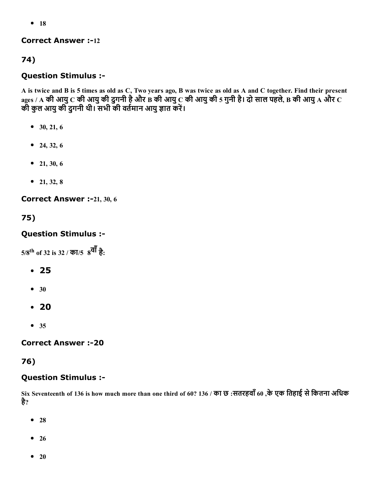$• 18$ 

### **Correct Answer :-12**

# 74)

# Question Stimulus :

A is twice and B is 5 times as old as C, Two years ago, B was twice as old as A and C together. Find their present  $_{\rm ages$  / A की आयु  $\rm C$  की आयु की दुगनी है और  $\rm \dot{B}$  की आयु  $\rm \dot{C}$  की आयु की 5 गुनी है। दो साल पहले, B की आयु A और  $\rm C$ क्षरूण में सायुकी दुगनी थी। सभी की वर्तमान आयु ज्ञात करें।<br>की कुल आयु की दुगनी थी। सभी की वर्तमान आयु ज्ञात करें।

- $\bullet$  30, 21, 6
- $-24, 32, 6$
- $\bullet$  21, 30, 6
- $\bullet$  21, 32, 8

Correct Answer :-21, 30, 6

75)

### Question Stimulus :

 $5/8^{\rm th}$  of 32 is 32 / का/ $5\,$   $8^{\overline{\bf q}\bar{\bf l}}$  है:

- 25
- $30$
- 20
- $35$

### **Correct Answer :-20**

# 76)

### Question Stimulus :

Six Seventeenth of 136 is how much more than one third of 60? 136 / का छ :सतरहवाँ60 ,केएक ितहाई सेिकतना अिधक है?

- $28$
- $26$
- $20$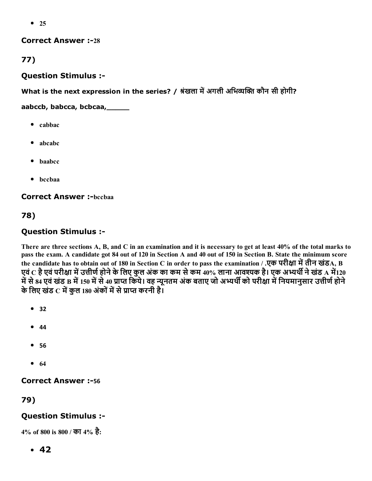$• 25$ 

#### **Correct Answer :-28**

77)

### Question Stimulus :

What is the next expression in the series? / श्रंखला में अगली अभिव्यक्ति कौन सी होगी?

aabccb, babcca, bcbcaa,\_\_\_\_\_

- cabbac
- abcabc
- baabcc
- bccbaa

**Correct Answer :-bccbaa** 

78)

# Question Stimulus :

There are three sections A, B, and C in an examination and it is necessary to get at least 40% of the total marks to pass the exam. A candidate got 84 out of 120 in Section A and 40 out of 150 in Section B. State the minimum score the candidate has to obtain out of 180 in Section C in order to pass the examination / .एक परीक्षा में तीन खंडA, B एवं C है एवं परीक्षा में उत्तीर्ण होने के लिए कुल अंक का कम से कम 40% लाना आवश्यक है। एक अभ्यर्थी ने खंड A में120 में से 84 एवं खंड B में 150 में से 40 प्राप्त किये। वह न्यूनतम अंक बताए जो अभ्यर्थी को परीक्षा में नियमानुसार उत्तीर्ण होने केिलए खंड C मꋾ영कुल 180 अंकोंमꋾ영सेꋾ︁ाစ करनी है।

- **•** 32
- $44$
- 56
- $64$

# **Correct Answer :-56**

79)

# Question Stimulus :

4% of 800 is 800 / का 4% है:

 $-42$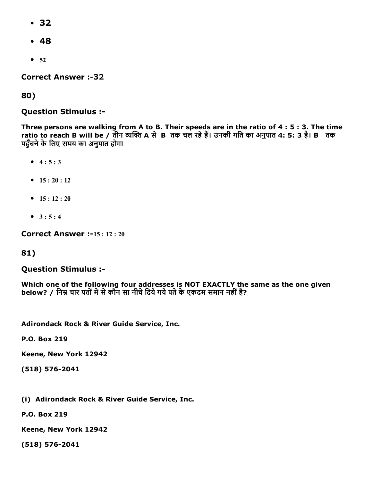- 32
- 48
- $52$

**Correct Answer :-32** 

80)

### Question Stimulus :

Three persons are walking from A to B. Their speeds are in the ratio of 4 : 5 : 3. The time ratio to reach B will be / तीन व्यक्ति A से B तक चल रहे हैं। उनकी गति का अनुपात 4: 5: 3 है। B तक पहुँचने के लिए समय का अनुपात होगा

- $4:5:3$
- $15 : 20 : 12$
- $15 : 12 : 20$
- $\bullet$  3 : 5 : 4

**Correct Answer :-15:12:20** 

### 81)

#### Question Stimulus :

Which one of the following four addresses is NOT EXACTLY the same as the one given below? / निम्न चार पतों में से कौन सा नीचे दिये गये पते के एकदम समान नहीं है?

Adirondack Rock & River Guide Service, Inc.

P.O. Box 219

Keene, New York 12942

 $(518) 576 - 2041$ 

(i) Adirondack Rock & River Guide Service, Inc.

P.O. Box 219

Keene, New York 12942

(518) 576-2041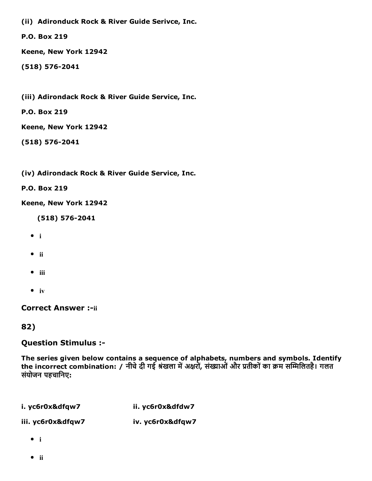(ii) Adironduck Rock & River Guide Serivce, Inc.

P.O. Box 219

Keene, New York 12942

 $(518) 576 - 2041$ 

(iii) Adirondack Rock & River Guide Service, Inc.

P.O. Box 219

Keene, New York 12942

 $(518) 576 - 2041$ 

(iv) Adirondack Rock & River Guide Service, Inc.

P.O. Box 219

Keene, New York 12942

(518) 576-2041

- $\bullet$  i
- $\bullet$  ii
- $\bullet$  iii
- $\bullet$  iv

**Correct Answer :- ii** 

82)

Question Stimulus :

The series given below contains a sequence of alphabets, numbers and symbols. Identify the incorrect combination: / नीचे दी गई श्रंखला में अक्षरों, संख्याओं और प्रतीकों का क्रम सम्मिलितहै। गलत संयोजन पहचािनए:

### i. yc6r0x&dfqw7 ii. yc6r0x&dfdw7

iii. yc6r0x&dfqw7 iv. yc6r0x&dfqw7

- $\bullet$  i
- $\bullet$  ii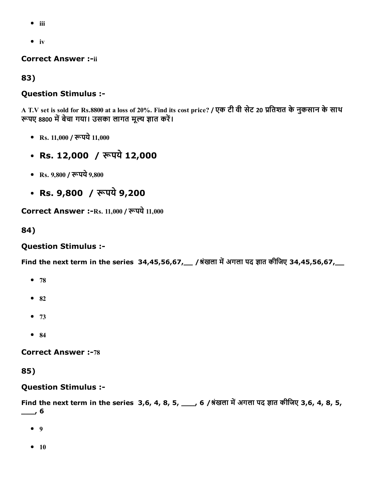- $\bullet$  iii
- $\bullet$  iv

#### **Correct Answer :- ii**

83)

### Question Stimulus :

A T.V set is sold for Rs.8800 at a loss of 20%. Find its cost price? / एक टी वी सेट 20 प्रतिशत के नुकसान के साथ रूपए 8800 में बेचा गया। उसका लागत मूल्य ज्ञात करें।

- Rs.  $11,000$  / रूपये  $11,000$
- Rs. 12,000 / रूपये 12,000
- Rs.  $9,800$  / रूपये  $9,800$
- Rs.  $9,800$  / रूपये  $9,200$

Correct Answer :- Rs. 11,000 / रूपये 11,000

#### 84)

#### Question Stimulus :

Find the next term in the series 34,45,56,67,  $\mu$  / श्रंखला में अगला पद ज्ञात कीजिए 34,45,56,67,

- $78$
- $82$
- $-73$
- $84$

**Correct Answer :-78** 

#### 85)

#### Question Stimulus :

Find the next term in the series 3,6, 4, 8, 5, \_\_\_, 6 /श्रंखला में अगला पद ज्ञात कीजिए 3,6, 4, 8, 5,  $\overline{\phantom{0}}$ , 6

- $9$
- $10$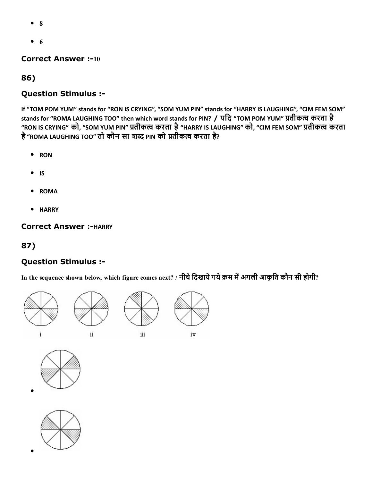- 8
- $\bullet$  6

#### **Correct Answer :-10**

### 86)

# Question Stimulus :

If "TOM POM YUM" stands for "RON IS CRYING", "SOM YUM PIN" stands for "HARRY IS LAUGHING", "CIM FEM SOM" stands for "ROMA LAUGHING TOO" then which word stands for PIN? / यदि "TOM POM YUM" प्रतीकत्व करता है "RON IS CRYING" को, "SOM YUM PIN" प्रतीकत्व करता है "HARRY IS LAUGHING" को, "CIM FEM SOM" प्रतीकत्व करता है"ROMA LAUGHING TOO" तो कौन सा शĀ PIN को ꋾ︁तीकဂ करता है?

- RON
- $\bullet$  IS
- ROMA
- **HARRY**

### Correct Answer :- HARRY

# 87)

# Question Stimulus :

In the sequence shown below, which figure comes next? / नीचे दिखाये गये क्रम में अगली आकृति कौन सी होगी?









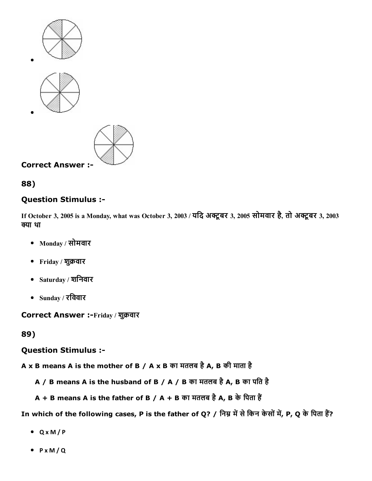







### Question Stimulus :

If October 3, 2005 is a Monday, what was October 3, 2003 / यदि अक्टूबर 3, 2005 सोमवार है, तो अक्टूबर 3, 2003 क्या था

- Monday / सोमवार
- Friday / शुक्रवार
- Saturday / शिनवार
- Sunday / रिववार

Correct Answer :-Friday / शुक्रवार

89)

#### Question Stimulus :

A x B means A is the mother of B / A x B का मतलब है A, B की माता है

- A / B means A is the husband of B / A / B का मतलब है A, B का पति है
- $A + B$  means A is the father of B / A + B का मतलब है A, B के पिता हैं

In which of the following cases, P is the father of Q? / निम्न में से किन केसों में, P, Q के पिता हैं?

- Q x M / P
- P x M / Q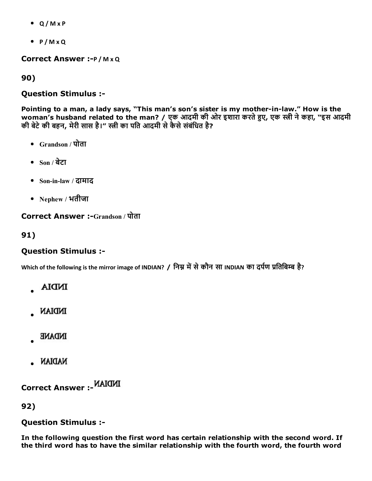- Q / M x P
- $\bullet$  P/M x Q

Correct Answer :- P / M x Q

90)

#### Question Stimulus :

Pointing to a man, a lady says, "This man's son's sister is my mother-in-law." How is the woman's husband related to the man? / एक आदमी की ओर इशारा करते हुए, एक स्त्री ने कहा, "इस आदमी की बेटे की बहन, मेरी सास है।" स्त्री का पति आदमी से कैसे संबंधित है?

- Grandson / पोता
- $\bullet$  Son / बेटा
- Soninlaw / दामाद
- Nephew / भतीजा

## Correct Answer :-Grandson / पोता

91)

## Question Stimulus :

Which of the following is the mirror image of INDIAN? / निम्न में से कौन सा INDIAN का दर्पण प्रतिबिम्ब है?

- **INDIA**
- **INDIAN**
- **NDANE**
- NADIAN.

Correct Answer :

92)

## Question Stimulus :

In the following question the first word has certain relationship with the second word. If the third word has to have the similar relationship with the fourth word, the fourth word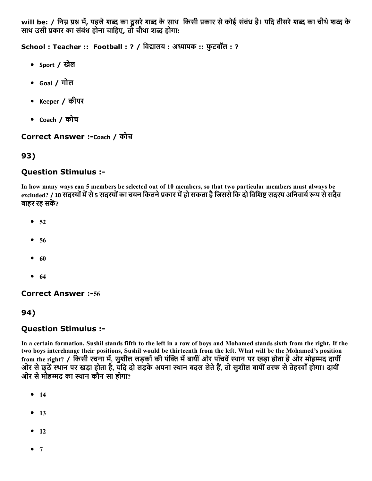will be: / निम्न प्रश्न में, पहले शब्द का दूसरे शब्द के साथ किसी प्रकार से कोई संबंध है। यदि तीसरे शब्द का चौथे शब्द के साथ उसी प्रकार का संबंध होना चाहिए, तो चौथा शब्द होगा:

School : Teacher :: Football : ? / विद्यालय : अध्यापक :: फुटबॉल : ?

- Sport / खेल
- Goal / गोल
- Keeper / कीपर
- Coach / कोच

Correct Answer :-Coach / कोच

# 93)

# Question Stimulus :

In how many ways can 5 members be selected out of 10 members, so that two particular members must always be excluded? / 10 सदस्यों में से 5 सदस्यों का चयन कितने प्रकार में हो सकता है जिससे कि दो विशिष्ट सदस्य अनिवार्य रूप से सदैव बाहर रह सकें?

- $52$
- $56$
- $60$
- $64$

**Correct Answer :-56** 

# 94)

# Question Stimulus :

In a certain formation, Sushil stands fifth to the left in a row of boys and Mohamed stands sixth from the right, If the two boys interchange their positions, Sushil would be thirteenth from the left. What will be the Mohamed's position from the right? / किसी रचना में, सुशील लड़कों की पंक्ति में बायीं ओर पाँचवें स्थान पर खड़ा होता है और मोहम्मद दायीं ओर से छ्ठें स्थान पर खड़ा होता है, यदि दो लड़के अपना स्थान बदल लेते हैं, तो सुशील बायीं तरफ से तेहरवाँ होगा। दायीं ओर से मोहम्मद का स्थान कौन सा होगा?

- $14$
- $13$
- $-12$
- $7$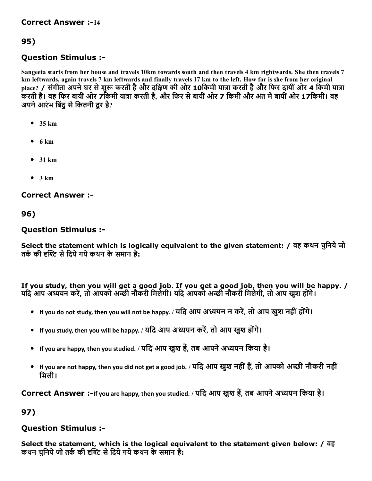# 95)

# Question Stimulus :

Sangeeta starts from her house and travels 10km towards south and then travels 4 km rightwards. She then travels 7 km leftwards, again travels 7 km leftwards and finally travels 17 km to the left. How far is she from her original place? / संगीता अपने घर से शुरू करती है और दक्षिण की ओर 10किमी यात्रा करती है और फिर दायीं ओर 4 किमी यात्रा करती है। वह फिर बायीं ओर 7 किमी यात्रा करती है, और फिर से बायीं ओर 7 किमी और अंत में बायीं ओर 17किमी। वह अपने आरंभ बिंद से कितनी दर है?

- $\bullet$  35 km
- $6 km$
- $•$  31 km
- $3 km$

## Correct Answer :

96)

## Question Stimulus :

Select the statement which is logically equivalent to the given statement: / वह कथन चनिये जो तर्क की दृश्टि से दिये गये कथन के समान है:

If you study, then you will get a good job. If you get a good job, then you will be happy. / यदि आप अध्ययन करें, तो आपको अच्छी नौकरी मिलेगी। यदि आपको अच्छी नौकरी मिलेगी, तो आप खश होंगे।

- If you do not study, then you will not be happy. / यदि आप अध्ययन न करें, तो आप खुश नहीं होंगे।
- If you study, then you will be happy. / यदि आप अध्ययन करें, तो आप खुश होंगे।
- If you are happy, then you studied. / यदि आप खुश हैं, तब आपने अध्ययन किया है।
- If you are not happy, then you did not get a good job. / यदि आप खुश नहीं हैं, तो आपको अच्छी नौकरी नहीं िमली।

Correct Answer :-If you are happy, then you studied. / यदि आप खुश हैं, तब आपने अध्ययन किया है।

97)

# Question Stimulus :

Select the statement, which is the logical equivalent to the statement given below: / वह कथन चुनिये जो तर्क की दृश्टि से दिये गये कथन के समान है: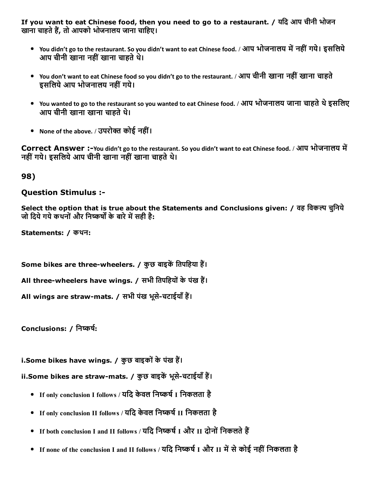If you want to eat Chinese food, then you need to go to a restaurant. / यिद आप चीनी भोजन खाना चाहते हैं, तो आपको भोजनालय जाना चाहिए।

- You didn't go to the restaurant. So you didn't want to eat Chinese food. / आप भोजनालय में नहीं गये। इसलिये आप चीनी खाना नहीं खाना चाहते थे।
- You don't want to eat Chinese food so you didn't go to the restaurant. / आप चीनी खाना नहींखाना चाहते इसिलयेआप भोजनालय नहींगये।
- You wanted to go to the restaurant so you wanted to eat Chinese food. / आप भोजनालय जाना चाहते थे इसलिए आप चीनी खाना खाना चाहते थे।
- None of the above. / उपरोक्त कोई नहीं।

Correct Answer :-You didn't go to the restaurant. So you didn't want to eat Chinese food. / आप भोजनालय में नहीं गये। इसलिये आप चीनी खाना नहीं खाना चाहते थे।

98)

## Question Stimulus :

Select the option that is true about the Statements and Conclusions given: / वह विकल्प चनिये जो दिये गये कथनों और निष्कर्षों के बारे में सही है:

Statements: / कथन:

Some bikes are three-wheelers. / कुछ बाइकें तिपहिया हैं।

All three-wheelers have wings. / सभी तिपहियों के पंख हैं।

All wings are straw-mats. / सभी पंख भूसे-चटाईयाँ हैं।

Conclusions: / निष्कर्ष:

i.Some bikes have wings. / कुछ बाइकों के पंख हैं।

ii.Some bikes are straw-mats. / कुछ बाइकें भूसे-चटाईयाँ हैं।

- If only conclusion I follows / यदि केवल निष्कर्ष I निकलता है
- If only conclusion II follows / यदि केवल निष्कर्ष II निकलता है
- If both conclusion I and II follows / यदि निष्कर्ष I और II दोनों निकलते हैं
- If none of the conclusion I and II follows / यदि निष्कर्ष I और II में से कोई नहीं निकलता है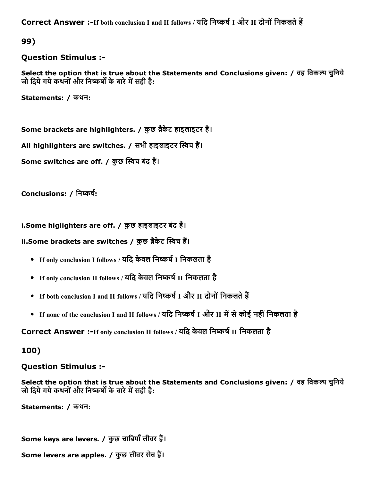Correct Answer :-If both conclusion I and II follows / यदि निष्कर्ष I और II दोनों निकलते हैं

99)

#### Question Stimulus :

Select the option that is true about the Statements and Conclusions given: / वह विकल्प चुनिये जो दिये गये कथनों और निष्कर्षों के बारे में सही है:

Statements: / कथन:

Some brackets are highlighters. / कुछ ब्रैकेट हाइलाइटर हैं।

All highlighters are switches. / सभी हाइलाइटर स्विच हैं।

Some switches are off. / कुछ स्विच बंद हैं।

Conclusions: / निष्कर्ष:

i.Some higlighters are off. / कुछ हाइलाइटर बंद हैं।

ii.Some brackets are switches / कुछ ब्रैकेट स्विच हैं।

- If only conclusion I follows / यदि केवल निष्कर्ष I निकलता है
- If only conclusion II follows / यदि केवल निष्कर्ष II निकलता है
- If both conclusion I and II follows / यदि निष्कर्ष I और II दोनों निकलते हैं
- If none of the conclusion I and II follows / यदि निष्कर्ष I और II में से कोई नहीं निकलता है

Correct Answer :-If only conclusion II follows / यदि केवल निष्कर्ष II निकलता है

100)

Question Stimulus :

Select the option that is true about the Statements and Conclusions given: / वह विकल्प चुनिये जो दिये गये कथनों और निष्कर्षों के बारे में सही है:

Statements: / कथन:

Some keys are levers. / कुछ चाबियाँ लीवर हैं।

Some levers are apples. / कुछ लीवर सेब हैं।